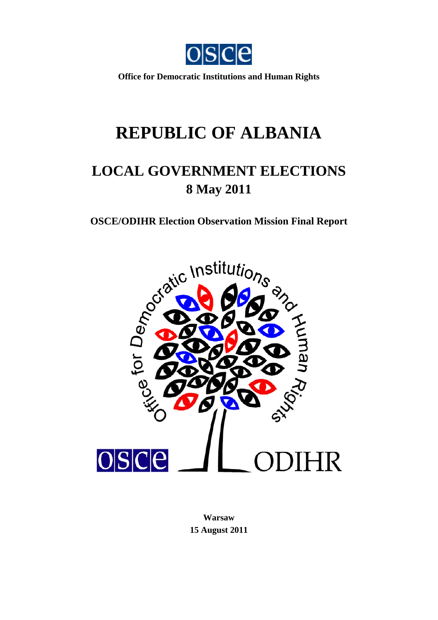

**Office for Democratic Institutions and Human Rights** 

# **REPUBLIC OF ALBANIA**

# **LOCAL GOVERNMENT ELECTIONS 8 May 2011**



**Warsaw 15 August 2011**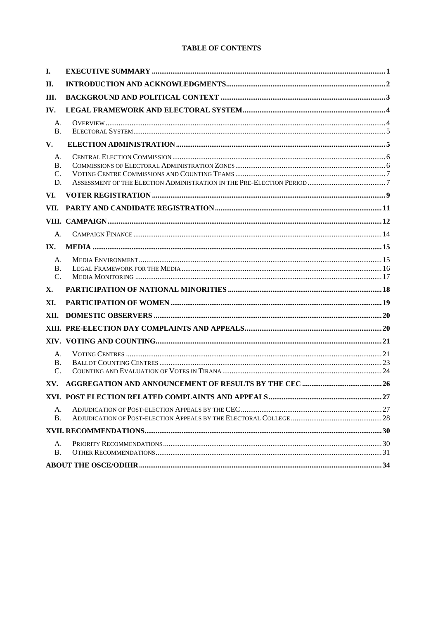#### **TABLE OF CONTENTS**

| I.                             |  |
|--------------------------------|--|
| II.                            |  |
| Ш.                             |  |
| IV.                            |  |
| A.<br><b>B.</b>                |  |
| V.                             |  |
| A.<br><b>B.</b><br>C.<br>D.    |  |
| VI.                            |  |
| VII.                           |  |
|                                |  |
| A.                             |  |
| IX.                            |  |
| A.<br><b>B.</b><br>$C_{\cdot}$ |  |
| X.                             |  |
| XI.                            |  |
| XII.                           |  |
|                                |  |
|                                |  |
| A.<br><b>B.</b><br>C.          |  |
| XV.                            |  |
|                                |  |
| A.<br><b>B.</b>                |  |
|                                |  |
| A.<br><b>B.</b>                |  |
|                                |  |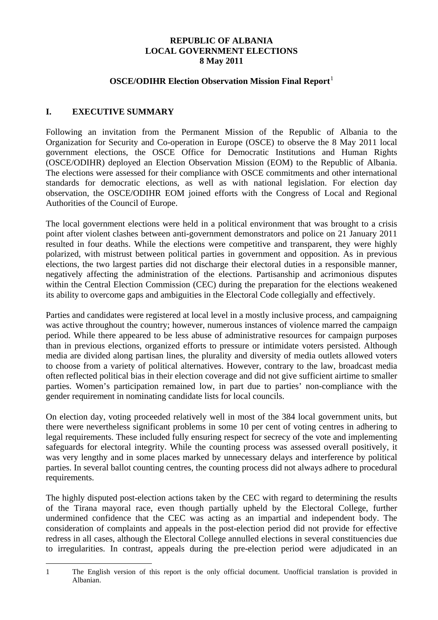### **REPUBLIC OF ALBANIA LOCAL GOVERNMENT ELECTIONS 8 May 2011**

#### **OSCE/ODIHR Election Observation Mission Final Report**<sup>[1](#page-2-1)</sup>

# <span id="page-2-0"></span>**I. EXECUTIVE SUMMARY**

Following an invitation from the Permanent Mission of the Republic of Albania to the Organization for Security and Co-operation in Europe (OSCE) to observe the 8 May 2011 local government elections, the OSCE Office for Democratic Institutions and Human Rights (OSCE/ODIHR) deployed an Election Observation Mission (EOM) to the Republic of Albania. The elections were assessed for their compliance with OSCE commitments and other international standards for democratic elections, as well as with national legislation. For election day observation, the OSCE/ODIHR EOM joined efforts with the Congress of Local and Regional Authorities of the Council of Europe.

The local government elections were held in a political environment that was brought to a crisis point after violent clashes between anti-government demonstrators and police on 21 January 2011 resulted in four deaths. While the elections were competitive and transparent, they were highly polarized, with mistrust between political parties in government and opposition. As in previous elections, the two largest parties did not discharge their electoral duties in a responsible manner, negatively affecting the administration of the elections. Partisanship and acrimonious disputes within the Central Election Commission (CEC) during the preparation for the elections weakened its ability to overcome gaps and ambiguities in the Electoral Code collegially and effectively.

Parties and candidates were registered at local level in a mostly inclusive process, and campaigning was active throughout the country; however, numerous instances of violence marred the campaign period. While there appeared to be less abuse of administrative resources for campaign purposes than in previous elections, organized efforts to pressure or intimidate voters persisted. Although media are divided along partisan lines, the plurality and diversity of media outlets allowed voters to choose from a variety of political alternatives. However, contrary to the law, broadcast media often reflected political bias in their election coverage and did not give sufficient airtime to smaller parties. Women's participation remained low, in part due to parties' non-compliance with the gender requirement in nominating candidate lists for local councils.

On election day, voting proceeded relatively well in most of the 384 local government units, but there were nevertheless significant problems in some 10 per cent of voting centres in adhering to legal requirements. These included fully ensuring respect for secrecy of the vote and implementing safeguards for electoral integrity. While the counting process was assessed overall positively, it was very lengthy and in some places marked by unnecessary delays and interference by political parties. In several ballot counting centres, the counting process did not always adhere to procedural requirements.

The highly disputed post-election actions taken by the CEC with regard to determining the results of the Tirana mayoral race, even though partially upheld by the Electoral College, further undermined confidence that the CEC was acting as an impartial and independent body. The consideration of complaints and appeals in the post-election period did not provide for effective redress in all cases, although the Electoral College annulled elections in several constituencies due to irregularities. In contrast, appeals during the pre-election period were adjudicated in an

<span id="page-2-2"></span><span id="page-2-1"></span> $\overline{a}$ 1 The English version of this report is the only official document. Unofficial translation is provided in Albanian.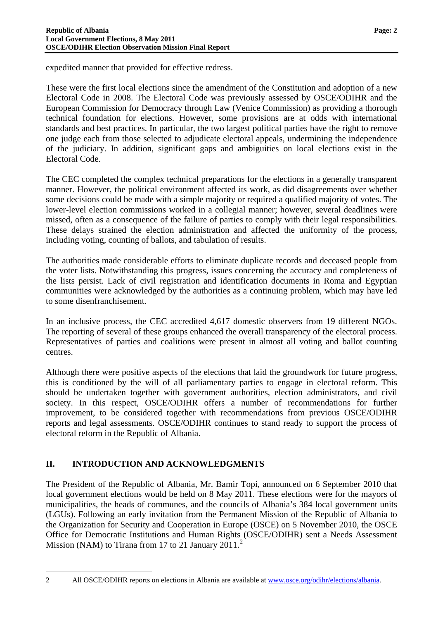expedited manner that provided for effective redress.

These were the first local elections since the amendment of the Constitution and adoption of a new Electoral Code in 2008. The Electoral Code was previously assessed by OSCE/ODIHR and the European Commission for Democracy through Law (Venice Commission) as providing a thorough technical foundation for elections. However, some provisions are at odds with international standards and best practices. In particular, the two largest political parties have the right to remove one judge each from those selected to adjudicate electoral appeals, undermining the independence of the judiciary. In addition, significant gaps and ambiguities on local elections exist in the Electoral Code.

The CEC completed the complex technical preparations for the elections in a generally transparent manner. However, the political environment affected its work, as did disagreements over whether some decisions could be made with a simple majority or required a qualified majority of votes. The lower-level election commissions worked in a collegial manner; however, several deadlines were missed, often as a consequence of the failure of parties to comply with their legal responsibilities. These delays strained the election administration and affected the uniformity of the process, including voting, counting of ballots, and tabulation of results.

The authorities made considerable efforts to eliminate duplicate records and deceased people from the voter lists. Notwithstanding this progress, issues concerning the accuracy and completeness of the lists persist. Lack of civil registration and identification documents in Roma and Egyptian communities were acknowledged by the authorities as a continuing problem, which may have led to some disenfranchisement.

In an inclusive process, the CEC accredited 4,617 domestic observers from 19 different NGOs. The reporting of several of these groups enhanced the overall transparency of the electoral process. Representatives of parties and coalitions were present in almost all voting and ballot counting centres.

Although there were positive aspects of the elections that laid the groundwork for future progress, this is conditioned by the will of all parliamentary parties to engage in electoral reform. This should be undertaken together with government authorities, election administrators, and civil society. In this respect, OSCE/ODIHR offers a number of recommendations for further improvement, to be considered together with recommendations from previous OSCE/ODIHR reports and legal assessments. OSCE/ODIHR continues to stand ready to support the process of electoral reform in the Republic of Albania.

# <span id="page-3-0"></span>**II. INTRODUCTION AND ACKNOWLEDGMENTS**

The President of the Republic of Albania, Mr. Bamir Topi, announced on 6 September 2010 that local government elections would be held on 8 May 2011. These elections were for the mayors of municipalities, the heads of communes, and the councils of Albania's 384 local government units (LGUs). Following an early invitation from the Permanent Mission of the Republic of Albania to the Organization for Security and Cooperation in Europe (OSCE) on 5 November 2010, the OSCE Office for Democratic Institutions and Human Rights (OSCE/ODIHR) sent a Needs Assessment Mission (NAM) to Tirana from 17 to [2](#page-2-2)1 January 2011.<sup>2</sup>

<span id="page-3-1"></span> $\overline{a}$ 

<sup>2</sup> All OSCE/ODIHR reports on elections in Albania are available at [www.osce.org/odihr/elections/albania.](http://www.osce.org/odihr/elections/albania)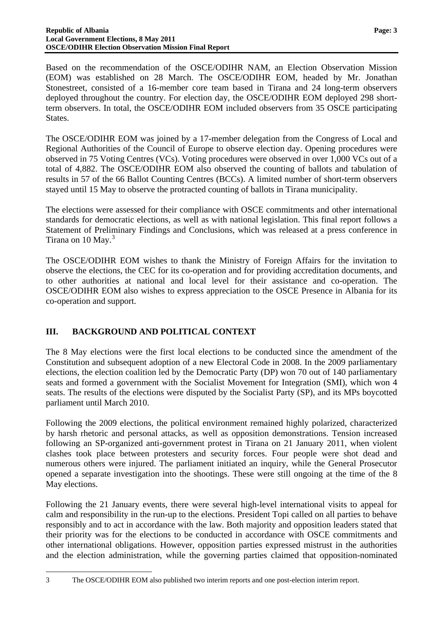Based on the recommendation of the OSCE/ODIHR NAM, an Election Observation Mission (EOM) was established on 28 March. The OSCE/ODIHR EOM, headed by Mr. Jonathan Stonestreet, consisted of a 16-member core team based in Tirana and 24 long-term observers deployed throughout the country. For election day, the OSCE/ODIHR EOM deployed 298 shortterm observers. In total, the OSCE/ODIHR EOM included observers from 35 OSCE participating States.

The OSCE/ODIHR EOM was joined by a 17-member delegation from the Congress of Local and Regional Authorities of the Council of Europe to observe election day. Opening procedures were observed in 75 Voting Centres (VCs). Voting procedures were observed in over 1,000 VCs out of a total of 4,882. The OSCE/ODIHR EOM also observed the counting of ballots and tabulation of results in 57 of the 66 Ballot Counting Centres (BCCs). A limited number of short-term observers stayed until 15 May to observe the protracted counting of ballots in Tirana municipality.

The elections were assessed for their compliance with OSCE commitments and other international standards for democratic elections, as well as with national legislation. This final report follows a Statement of Preliminary Findings and Conclusions, which was released at a press conference in Tirana on 10 May.<sup>[3](#page-3-1)</sup>

The OSCE/ODIHR EOM wishes to thank the Ministry of Foreign Affairs for the invitation to observe the elections, the CEC for its co-operation and for providing accreditation documents, and to other authorities at national and local level for their assistance and co-operation. The OSCE/ODIHR EOM also wishes to express appreciation to the OSCE Presence in Albania for its co-operation and support.

# <span id="page-4-0"></span>**III. BACKGROUND AND POLITICAL CONTEXT**

The 8 May elections were the first local elections to be conducted since the amendment of the Constitution and subsequent adoption of a new Electoral Code in 2008. In the 2009 parliamentary elections, the election coalition led by the Democratic Party (DP) won 70 out of 140 parliamentary seats and formed a government with the Socialist Movement for Integration (SMI), which won 4 seats. The results of the elections were disputed by the Socialist Party (SP), and its MPs boycotted parliament until March 2010.

Following the 2009 elections, the political environment remained highly polarized, characterized by harsh rhetoric and personal attacks, as well as opposition demonstrations. Tension increased following an SP-organized anti-government protest in Tirana on 21 January 2011, when violent clashes took place between protesters and security forces. Four people were shot dead and numerous others were injured. The parliament initiated an inquiry, while the General Prosecutor opened a separate investigation into the shootings. These were still ongoing at the time of the 8 May elections.

<span id="page-4-1"></span>Following the 21 January events, there were several high-level international visits to appeal for calm and responsibility in the run-up to the elections. President Topi called on all parties to behave responsibly and to act in accordance with the law. Both majority and opposition leaders stated that their priority was for the elections to be conducted in accordance with OSCE commitments and other international obligations. However, opposition parties expressed mistrust in the authorities and the election administration, while the governing parties claimed that opposition-nominated

 $\overline{a}$ 3 The OSCE/ODIHR EOM also published two interim reports and one post-election interim report.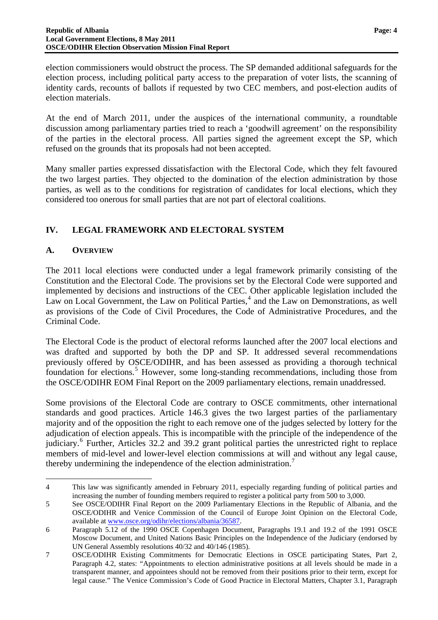election commissioners would obstruct the process. The SP demanded additional safeguards for the election process, including political party access to the preparation of voter lists, the scanning of identity cards, recounts of ballots if requested by two CEC members, and post-election audits of election materials.

At the end of March 2011, under the auspices of the international community, a roundtable discussion among parliamentary parties tried to reach a 'goodwill agreement' on the responsibility of the parties in the electoral process. All parties signed the agreement except the SP, which refused on the grounds that its proposals had not been accepted.

Many smaller parties expressed dissatisfaction with the Electoral Code, which they felt favoured the two largest parties. They objected to the domination of the election administration by those parties, as well as to the conditions for registration of candidates for local elections, which they considered too onerous for small parties that are not part of electoral coalitions.

# <span id="page-5-0"></span>**IV. LEGAL FRAMEWORK AND ELECTORAL SYSTEM**

# <span id="page-5-1"></span>**A. OVERVIEW**

 $\overline{a}$ 

The 2011 local elections were conducted under a legal framework primarily consisting of the Constitution and the Electoral Code. The provisions set by the Electoral Code were supported and implemented by decisions and instructions of the CEC. Other applicable legislation included the Law on Local Government, the Law on Political Parties,<sup>[4](#page-4-1)</sup> and the Law on Demonstrations, as well as provisions of the Code of Civil Procedures, the Code of Administrative Procedures, and the Criminal Code.

The Electoral Code is the product of electoral reforms launched after the 2007 local elections and was drafted and supported by both the DP and SP. It addressed several recommendations previously offered by OSCE/ODIHR, and has been assessed as providing a thorough technical foundation for elections.<sup>[5](#page-5-2)</sup> However, some long-standing recommendations, including those from the OSCE/ODIHR EOM Final Report on the 2009 parliamentary elections, remain unaddressed.

Some provisions of the Electoral Code are contrary to OSCE commitments, other international standards and good practices. Article 146.3 gives the two largest parties of the parliamentary majority and of the opposition the right to each remove one of the judges selected by lottery for the adjudication of election appeals. This is incompatible with the principle of the independence of the judiciary.<sup>[6](#page-5-3)</sup> Further, Articles 32.2 and 39.2 grant political parties the unrestricted right to replace members of mid-level and lower-level election commissions at will and without any legal cause, thereby undermining the independence of the election administration.<sup>[7](#page-5-4)</sup>

<sup>4</sup> This law was significantly amended in February 2011, especially regarding funding of political parties and increasing the number of founding members required to register a political party from 500 to 3,000.

<span id="page-5-2"></span><sup>5</sup> See OSCE/ODIHR Final Report on the 2009 Parliamentary Elections in the Republic of Albania, and the OSCE/ODIHR and Venice Commission of the Council of Europe Joint Opinion on the Electoral Code, available at [www.osce.org/odihr/elections/albania/36587.](http://www.osce.org/odihr/elections/albania/36587)

<span id="page-5-3"></span><sup>6</sup> Paragraph 5.12 of the 1990 OSCE Copenhagen Document, Paragraphs 19.1 and 19.2 of the 1991 OSCE Moscow Document, and United Nations Basic Principles on the Independence of the Judiciary (endorsed by UN General Assembly resolutions 40/32 and 40/146 (1985).

<span id="page-5-4"></span><sup>7</sup> OSCE/ODIHR Existing Commitments for Democratic Elections in OSCE participating States, Part 2, Paragraph 4.2, states: "Appointments to election administrative positions at all levels should be made in a transparent manner, and appointees should not be removed from their positions prior to their term, except for legal cause." The Venice Commission's Code of Good Practice in Electoral Matters, Chapter 3.1, Paragraph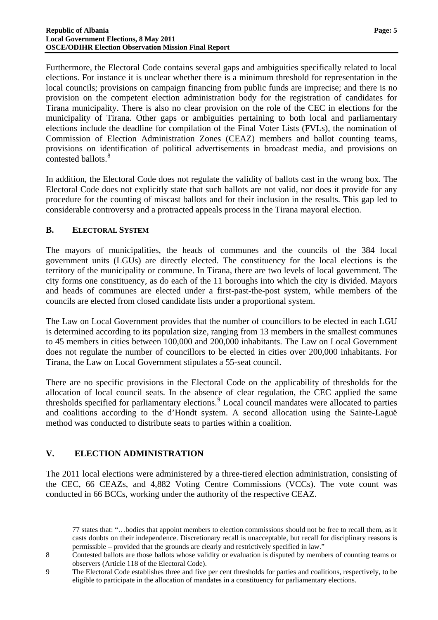Furthermore, the Electoral Code contains several gaps and ambiguities specifically related to local elections. For instance it is unclear whether there is a minimum threshold for representation in the local councils; provisions on campaign financing from public funds are imprecise; and there is no provision on the competent election administration body for the registration of candidates for Tirana municipality. There is also no clear provision on the role of the CEC in elections for the municipality of Tirana. Other gaps or ambiguities pertaining to both local and parliamentary elections include the deadline for compilation of the Final Voter Lists (FVLs), the nomination of Commission of Election Administration Zones (CEAZ) members and ballot counting teams, provisions on identification of political advertisements in broadcast media, and provisions on contested ballots.<sup>[8](#page-5-4)</sup>

In addition, the Electoral Code does not regulate the validity of ballots cast in the wrong box. The Electoral Code does not explicitly state that such ballots are not valid, nor does it provide for any procedure for the counting of miscast ballots and for their inclusion in the results. This gap led to considerable controversy and a protracted appeals process in the Tirana mayoral election.

#### <span id="page-6-0"></span>**B. ELECTORAL SYSTEM**

The mayors of municipalities, the heads of communes and the councils of the 384 local government units (LGUs) are directly elected. The constituency for the local elections is the territory of the municipality or commune. In Tirana, there are two levels of local government. The city forms one constituency, as do each of the 11 boroughs into which the city is divided. Mayors and heads of communes are elected under a first-past-the-post system, while members of the councils are elected from closed candidate lists under a proportional system.

The Law on Local Government provides that the number of councillors to be elected in each LGU is determined according to its population size, ranging from 13 members in the smallest communes to 45 members in cities between 100,000 and 200,000 inhabitants. The Law on Local Government does not regulate the number of councillors to be elected in cities over 200,000 inhabitants. For Tirana, the Law on Local Government stipulates a 55-seat council.

There are no specific provisions in the Electoral Code on the applicability of thresholds for the allocation of local council seats. In the absence of clear regulation, the CEC applied the same thresholds specified for parliamentary elections.<sup>[9](#page-6-2)</sup> Local council mandates were allocated to parties and coalitions according to the d'Hondt system. A second allocation using the Sainte-Laguë method was conducted to distribute seats to parties within a coalition.

#### <span id="page-6-1"></span>**V. ELECTION ADMINISTRATION**

 $\overline{a}$ 

The 2011 local elections were administered by a three-tiered election administration, consisting of the CEC, 66 CEAZs, and 4,882 Voting Centre Commissions (VCCs). The vote count was conducted in 66 BCCs, working under the authority of the respective CEAZ.

77 states that: "…bodies that appoint members to election commissions should not be free to recall them, as it casts doubts on their independence. Discretionary recall is unacceptable, but recall for disciplinary reasons is permissible – provided that the grounds are clearly and restrictively specified in law."

<span id="page-6-3"></span><sup>8</sup> Contested ballots are those ballots whose validity or evaluation is disputed by members of counting teams or observers (Article 118 of the Electoral Code).

<span id="page-6-2"></span><sup>9</sup> The Electoral Code establishes three and five per cent thresholds for parties and coalitions, respectively, to be eligible to participate in the allocation of mandates in a constituency for parliamentary elections.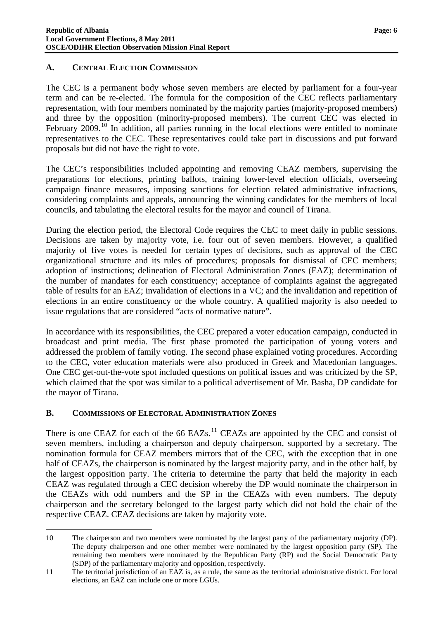### <span id="page-7-0"></span>**A. CENTRAL ELECTION COMMISSION**

The CEC is a permanent body whose seven members are elected by parliament for a four-year term and can be re-elected. The formula for the composition of the CEC reflects parliamentary representation, with four members nominated by the majority parties (majority-proposed members) and three by the opposition (minority-proposed members). The current CEC was elected in February  $2009$ .<sup>[10](#page-6-3)</sup> In addition, all parties running in the local elections were entitled to nominate representatives to the CEC. These representatives could take part in discussions and put forward proposals but did not have the right to vote.

The CEC's responsibilities included appointing and removing CEAZ members, supervising the preparations for elections, printing ballots, training lower-level election officials, overseeing campaign finance measures, imposing sanctions for election related administrative infractions, considering complaints and appeals, announcing the winning candidates for the members of local councils, and tabulating the electoral results for the mayor and council of Tirana.

During the election period, the Electoral Code requires the CEC to meet daily in public sessions. Decisions are taken by majority vote, i.e. four out of seven members. However, a qualified majority of five votes is needed for certain types of decisions, such as approval of the CEC organizational structure and its rules of procedures; proposals for dismissal of CEC members; adoption of instructions; delineation of Electoral Administration Zones (EAZ); determination of the number of mandates for each constituency; acceptance of complaints against the aggregated table of results for an EAZ; invalidation of elections in a VC; and the invalidation and repetition of elections in an entire constituency or the whole country. A qualified majority is also needed to issue regulations that are considered "acts of normative nature".

In accordance with its responsibilities, the CEC prepared a voter education campaign, conducted in broadcast and print media. The first phase promoted the participation of young voters and addressed the problem of family voting. The second phase explained voting procedures. According to the CEC, voter education materials were also produced in Greek and Macedonian languages. One CEC get-out-the-vote spot included questions on political issues and was criticized by the SP, which claimed that the spot was similar to a political advertisement of Mr. Basha, DP candidate for the mayor of Tirana.

#### <span id="page-7-1"></span>**B. COMMISSIONS OF ELECTORAL ADMINISTRATION ZONES**

<span id="page-7-3"></span> $\overline{a}$ 

There is one CEAZ for each of the  $66$  EAZs.<sup>[11](#page-7-2)</sup> CEAZs are appointed by the CEC and consist of seven members, including a chairperson and deputy chairperson, supported by a secretary. The nomination formula for CEAZ members mirrors that of the CEC, with the exception that in one half of CEAZs, the chairperson is nominated by the largest majority party, and in the other half, by the largest opposition party. The criteria to determine the party that held the majority in each CEAZ was regulated through a CEC decision whereby the DP would nominate the chairperson in the CEAZs with odd numbers and the SP in the CEAZs with even numbers. The deputy chairperson and the secretary belonged to the largest party which did not hold the chair of the respective CEAZ. CEAZ decisions are taken by majority vote.

<sup>10</sup> The chairperson and two members were nominated by the largest party of the parliamentary majority (DP). The deputy chairperson and one other member were nominated by the largest opposition party (SP). The remaining two members were nominated by the Republican Party (RP) and the Social Democratic Party (SDP) of the parliamentary majority and opposition, respectively.

<span id="page-7-2"></span><sup>11</sup> The territorial jurisdiction of an EAZ is, as a rule, the same as the territorial administrative district. For local elections, an EAZ can include one or more LGUs.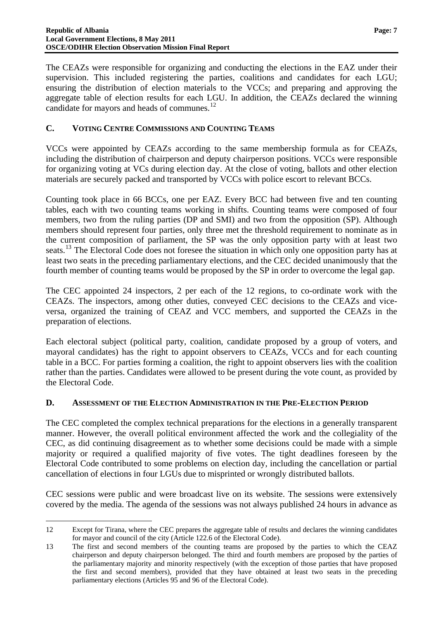The CEAZs were responsible for organizing and conducting the elections in the EAZ under their supervision. This included registering the parties, coalitions and candidates for each LGU; ensuring the distribution of election materials to the VCCs; and preparing and approving the aggregate table of election results for each LGU. In addition, the CEAZs declared the winning candidate for mayors and heads of communes.<sup>[12](#page-7-3)</sup>

# <span id="page-8-0"></span>**C. VOTING CENTRE COMMISSIONS AND COUNTING TEAMS**

VCCs were appointed by CEAZs according to the same membership formula as for CEAZs, including the distribution of chairperson and deputy chairperson positions. VCCs were responsible for organizing voting at VCs during election day. At the close of voting, ballots and other election materials are securely packed and transported by VCCs with police escort to relevant BCCs.

Counting took place in 66 BCCs, one per EAZ. Every BCC had between five and ten counting tables, each with two counting teams working in shifts. Counting teams were composed of four members, two from the ruling parties (DP and SMI) and two from the opposition (SP). Although members should represent four parties, only three met the threshold requirement to nominate as in the current composition of parliament, the SP was the only opposition party with at least two seats.<sup>[13](#page-8-2)</sup> The Electoral Code does not foresee the situation in which only one opposition party has at least two seats in the preceding parliamentary elections, and the CEC decided unanimously that the fourth member of counting teams would be proposed by the SP in order to overcome the legal gap.

The CEC appointed 24 inspectors, 2 per each of the 12 regions, to co-ordinate work with the CEAZs. The inspectors, among other duties, conveyed CEC decisions to the CEAZs and viceversa, organized the training of CEAZ and VCC members, and supported the CEAZs in the preparation of elections.

Each electoral subject (political party, coalition, candidate proposed by a group of voters, and mayoral candidates) has the right to appoint observers to CEAZs, VCCs and for each counting table in a BCC. For parties forming a coalition, the right to appoint observers lies with the coalition rather than the parties. Candidates were allowed to be present during the vote count, as provided by the Electoral Code.

# <span id="page-8-1"></span>**D. ASSESSMENT OF THE ELECTION ADMINISTRATION IN THE PRE-ELECTION PERIOD**

The CEC completed the complex technical preparations for the elections in a generally transparent manner. However, the overall political environment affected the work and the collegiality of the CEC, as did continuing disagreement as to whether some decisions could be made with a simple majority or required a qualified majority of five votes. The tight deadlines foreseen by the Electoral Code contributed to some problems on election day, including the cancellation or partial cancellation of elections in four LGUs due to misprinted or wrongly distributed ballots.

CEC sessions were public and were broadcast live on its website. The sessions were extensively covered by the media. The agenda of the sessions was not always published 24 hours in advance as

 $\overline{a}$ 

<sup>12</sup> Except for Tirana, where the CEC prepares the aggregate table of results and declares the winning candidates for mayor and council of the city (Article 122.6 of the Electoral Code).

<span id="page-8-3"></span><span id="page-8-2"></span><sup>13</sup> The first and second members of the counting teams are proposed by the parties to which the CEAZ chairperson and deputy chairperson belonged. The third and fourth members are proposed by the parties of the parliamentary majority and minority respectively (with the exception of those parties that have proposed the first and second members), provided that they have obtained at least two seats in the preceding parliamentary elections (Articles 95 and 96 of the Electoral Code).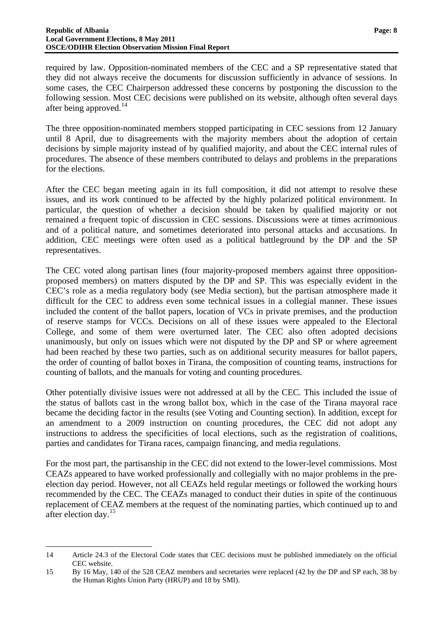required by law. Opposition-nominated members of the CEC and a SP representative stated that they did not always receive the documents for discussion sufficiently in advance of sessions. In some cases, the CEC Chairperson addressed these concerns by postponing the discussion to the following session. Most CEC decisions were published on its website, although often several days after being approved.<sup>[14](#page-8-3)</sup>

The three opposition-nominated members stopped participating in CEC sessions from 12 January until 8 April, due to disagreements with the majority members about the adoption of certain decisions by simple majority instead of by qualified majority, and about the CEC internal rules of procedures. The absence of these members contributed to delays and problems in the preparations for the elections.

After the CEC began meeting again in its full composition, it did not attempt to resolve these issues, and its work continued to be affected by the highly polarized political environment. In particular, the question of whether a decision should be taken by qualified majority or not remained a frequent topic of discussion in CEC sessions. Discussions were at times acrimonious and of a political nature, and sometimes deteriorated into personal attacks and accusations. In addition, CEC meetings were often used as a political battleground by the DP and the SP representatives.

The CEC voted along partisan lines (four majority-proposed members against three oppositionproposed members) on matters disputed by the DP and SP. This was especially evident in the CEC's role as a media regulatory body (see Media section), but the partisan atmosphere made it difficult for the CEC to address even some technical issues in a collegial manner. These issues included the content of the ballot papers, location of VCs in private premises, and the production of reserve stamps for VCCs. Decisions on all of these issues were appealed to the Electoral College, and some of them were overturned later. The CEC also often adopted decisions unanimously, but only on issues which were not disputed by the DP and SP or where agreement had been reached by these two parties, such as on additional security measures for ballot papers, the order of counting of ballot boxes in Tirana, the composition of counting teams, instructions for counting of ballots, and the manuals for voting and counting procedures.

Other potentially divisive issues were not addressed at all by the CEC. This included the issue of the status of ballots cast in the wrong ballot box, which in the case of the Tirana mayoral race became the deciding factor in the results (see Voting and Counting section). In addition, except for an amendment to a 2009 instruction on counting procedures, the CEC did not adopt any instructions to address the specificities of local elections, such as the registration of coalitions, parties and candidates for Tirana races, campaign financing, and media regulations.

For the most part, the partisanship in the CEC did not extend to the lower-level commissions. Most CEAZs appeared to have worked professionally and collegially with no major problems in the preelection day period. However, not all CEAZs held regular meetings or followed the working hours recommended by the CEC. The CEAZs managed to conduct their duties in spite of the continuous replacement of CEAZ members at the request of the nominating parties, which continued up to and after election day.[15](#page-9-0)

 $\overline{a}$ 

<span id="page-9-1"></span><sup>14</sup> Article 24.3 of the Electoral Code states that CEC decisions must be published immediately on the official CEC website.

<span id="page-9-0"></span><sup>15</sup> By 16 May, 140 of the 528 CEAZ members and secretaries were replaced (42 by the DP and SP each, 38 by the Human Rights Union Party (HRUP) and 18 by SMI).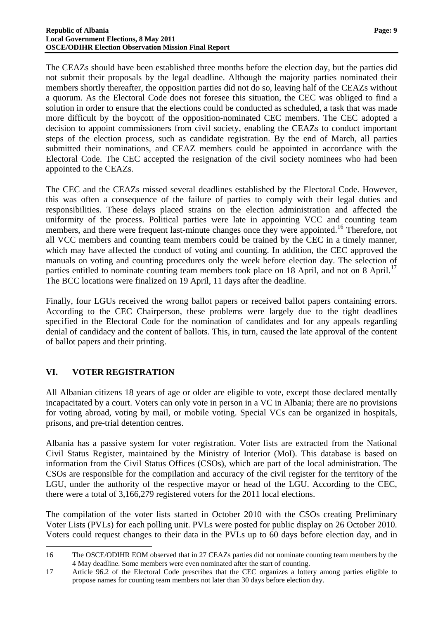The CEAZs should have been established three months before the election day, but the parties did not submit their proposals by the legal deadline. Although the majority parties nominated their members shortly thereafter, the opposition parties did not do so, leaving half of the CEAZs without a quorum. As the Electoral Code does not foresee this situation, the CEC was obliged to find a solution in order to ensure that the elections could be conducted as scheduled, a task that was made more difficult by the boycott of the opposition-nominated CEC members. The CEC adopted a decision to appoint commissioners from civil society, enabling the CEAZs to conduct important steps of the election process, such as candidate registration. By the end of March, all parties submitted their nominations, and CEAZ members could be appointed in accordance with the Electoral Code. The CEC accepted the resignation of the civil society nominees who had been appointed to the CEAZs.

The CEC and the CEAZs missed several deadlines established by the Electoral Code. However, this was often a consequence of the failure of parties to comply with their legal duties and responsibilities. These delays placed strains on the election administration and affected the uniformity of the process. Political parties were late in appointing VCC and counting team members, and there were frequent last-minute changes once they were appointed.<sup>[16](#page-9-1)</sup> Therefore, not all VCC members and counting team members could be trained by the CEC in a timely manner, which may have affected the conduct of voting and counting. In addition, the CEC approved the manuals on voting and counting procedures only the week before election day. The selection of parties entitled to nominate counting team members took place on 18 April, and not on 8 April.<sup>[17](#page-10-1)</sup> The BCC locations were finalized on 19 April, 11 days after the deadline.

Finally, four LGUs received the wrong ballot papers or received ballot papers containing errors. According to the CEC Chairperson, these problems were largely due to the tight deadlines specified in the Electoral Code for the nomination of candidates and for any appeals regarding denial of candidacy and the content of ballots. This, in turn, caused the late approval of the content of ballot papers and their printing.

# <span id="page-10-0"></span>**VI. VOTER REGISTRATION**

 $\overline{a}$ 

All Albanian citizens 18 years of age or older are eligible to vote, except those declared mentally incapacitated by a court. Voters can only vote in person in a VC in Albania; there are no provisions for voting abroad, voting by mail, or mobile voting. Special VCs can be organized in hospitals, prisons, and pre-trial detention centres.

Albania has a passive system for voter registration. Voter lists are extracted from the National Civil Status Register, maintained by the Ministry of Interior (MoI). This database is based on information from the Civil Status Offices (CSOs), which are part of the local administration. The CSOs are responsible for the compilation and accuracy of the civil register for the territory of the LGU, under the authority of the respective mayor or head of the LGU. According to the CEC, there were a total of 3,166,279 registered voters for the 2011 local elections.

<span id="page-10-2"></span>The compilation of the voter lists started in October 2010 with the CSOs creating Preliminary Voter Lists (PVLs) for each polling unit. PVLs were posted for public display on 26 October 2010. Voters could request changes to their data in the PVLs up to 60 days before election day, and in

<sup>16</sup> The OSCE/ODIHR EOM observed that in 27 CEAZs parties did not nominate counting team members by the 4 May deadline. Some members were even nominated after the start of counting.

<span id="page-10-1"></span><sup>17</sup> Article 96.2 of the Electoral Code prescribes that the CEC organizes a lottery among parties eligible to propose names for counting team members not later than 30 days before election day.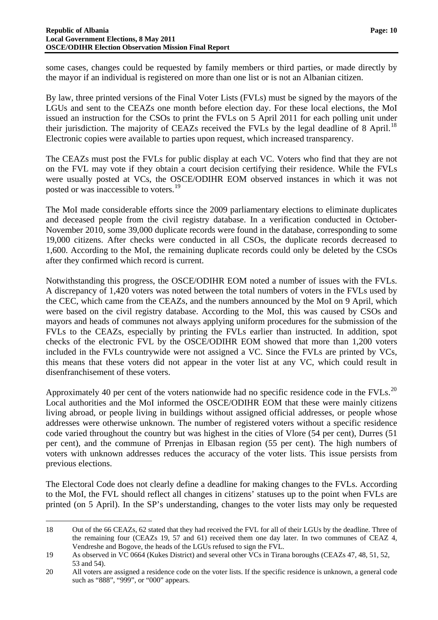some cases, changes could be requested by family members or third parties, or made directly by the mayor if an individual is registered on more than one list or is not an Albanian citizen.

By law, three printed versions of the Final Voter Lists (FVLs) must be signed by the mayors of the LGUs and sent to the CEAZs one month before election day. For these local elections, the MoI issued an instruction for the CSOs to print the FVLs on 5 April 2011 for each polling unit under their jurisdiction. The majority of CEAZs received the FVLs by the legal deadline of 8 April.<sup>[18](#page-10-2)</sup> Electronic copies were available to parties upon request, which increased transparency.

The CEAZs must post the FVLs for public display at each VC. Voters who find that they are not on the FVL may vote if they obtain a court decision certifying their residence. While the FVLs were usually posted at VCs, the OSCE/ODIHR EOM observed instances in which it was not posted or was inaccessible to voters.<sup>[19](#page-11-0)</sup>

The MoI made considerable efforts since the 2009 parliamentary elections to eliminate duplicates and deceased people from the civil registry database. In a verification conducted in October-November 2010, some 39,000 duplicate records were found in the database, corresponding to some 19,000 citizens. After checks were conducted in all CSOs, the duplicate records decreased to 1,600. According to the MoI, the remaining duplicate records could only be deleted by the CSOs after they confirmed which record is current.

Notwithstanding this progress, the OSCE/ODIHR EOM noted a number of issues with the FVLs. A discrepancy of 1,420 voters was noted between the total numbers of voters in the FVLs used by the CEC, which came from the CEAZs, and the numbers announced by the MoI on 9 April, which were based on the civil registry database. According to the MoI, this was caused by CSOs and mayors and heads of communes not always applying uniform procedures for the submission of the FVLs to the CEAZs, especially by printing the FVLs earlier than instructed. In addition, spot checks of the electronic FVL by the OSCE/ODIHR EOM showed that more than 1,200 voters included in the FVLs countrywide were not assigned a VC. Since the FVLs are printed by VCs, this means that these voters did not appear in the voter list at any VC, which could result in disenfranchisement of these voters.

Approximately 40 per cent of the voters nationwide had no specific residence code in the FVLs.<sup>[20](#page-11-1)</sup> Local authorities and the MoI informed the OSCE/ODIHR EOM that these were mainly citizens living abroad, or people living in buildings without assigned official addresses, or people whose addresses were otherwise unknown. The number of registered voters without a specific residence code varied throughout the country but was highest in the cities of Vlore (54 per cent), Durres (51 per cent), and the commune of Prrenjas in Elbasan region (55 per cent). The high numbers of voters with unknown addresses reduces the accuracy of the voter lists. This issue persists from previous elections.

The Electoral Code does not clearly define a deadline for making changes to the FVLs. According to the MoI, the FVL should reflect all changes in citizens' statuses up to the point when FVLs are printed (on 5 April). In the SP's understanding, changes to the voter lists may only be requested

 $\overline{a}$ 

<sup>18</sup> Out of the 66 CEAZs, 62 stated that they had received the FVL for all of their LGUs by the deadline. Three of the remaining four (CEAZs 19, 57 and 61) received them one day later. In two communes of CEAZ 4, Vendreshe and Bogove, the heads of the LGUs refused to sign the FVL.

<span id="page-11-0"></span><sup>19</sup> As observed in VC 0664 (Kukes District) and several other VCs in Tirana boroughs (CEAZs 47, 48, 51, 52, 53 and 54).

<span id="page-11-1"></span><sup>20</sup> All voters are assigned a residence code on the voter lists. If the specific residence is unknown, a general code such as "888", "999", or "000" appears.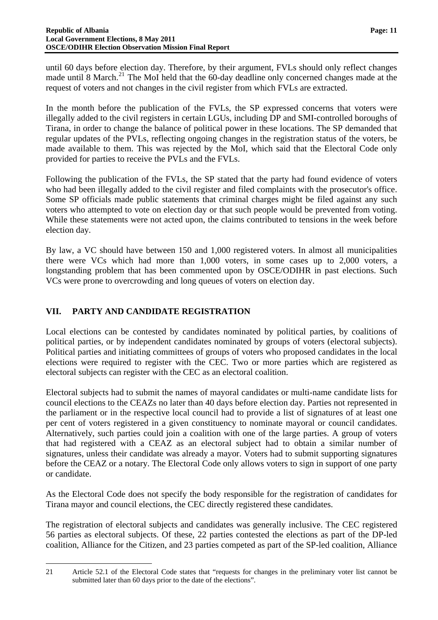until 60 days before election day. Therefore, by their argument, FVLs should only reflect changes made until 8 March.<sup>[21](#page-11-1)</sup> The MoI held that the 60-day deadline only concerned changes made at the request of voters and not changes in the civil register from which FVLs are extracted.

In the month before the publication of the FVLs, the SP expressed concerns that voters were illegally added to the civil registers in certain LGUs, including DP and SMI-controlled boroughs of Tirana, in order to change the balance of political power in these locations. The SP demanded that regular updates of the PVLs, reflecting ongoing changes in the registration status of the voters, be made available to them. This was rejected by the MoI, which said that the Electoral Code only provided for parties to receive the PVLs and the FVLs.

Following the publication of the FVLs, the SP stated that the party had found evidence of voters who had been illegally added to the civil register and filed complaints with the prosecutor's office. Some SP officials made public statements that criminal charges might be filed against any such voters who attempted to vote on election day or that such people would be prevented from voting. While these statements were not acted upon, the claims contributed to tensions in the week before election day.

By law, a VC should have between 150 and 1,000 registered voters. In almost all municipalities there were VCs which had more than 1,000 voters, in some cases up to 2,000 voters, a longstanding problem that has been commented upon by OSCE/ODIHR in past elections. Such VCs were prone to overcrowding and long queues of voters on election day.

# <span id="page-12-0"></span>**VII. PARTY AND CANDIDATE REGISTRATION**

 $\overline{a}$ 

Local elections can be contested by candidates nominated by political parties, by coalitions of political parties, or by independent candidates nominated by groups of voters (electoral subjects). Political parties and initiating committees of groups of voters who proposed candidates in the local elections were required to register with the CEC. Two or more parties which are registered as electoral subjects can register with the CEC as an electoral coalition.

Electoral subjects had to submit the names of mayoral candidates or multi-name candidate lists for council elections to the CEAZs no later than 40 days before election day. Parties not represented in the parliament or in the respective local council had to provide a list of signatures of at least one per cent of voters registered in a given constituency to nominate mayoral or council candidates. Alternatively, such parties could join a coalition with one of the large parties. A group of voters that had registered with a CEAZ as an electoral subject had to obtain a similar number of signatures, unless their candidate was already a mayor. Voters had to submit supporting signatures before the CEAZ or a notary. The Electoral Code only allows voters to sign in support of one party or candidate.

As the Electoral Code does not specify the body responsible for the registration of candidates for Tirana mayor and council elections, the CEC directly registered these candidates.

The registration of electoral subjects and candidates was generally inclusive. The CEC registered 56 parties as electoral subjects. Of these, 22 parties contested the elections as part of the DP-led coalition, Alliance for the Citizen, and 23 parties competed as part of the SP-led coalition, Alliance

<span id="page-12-1"></span><sup>21</sup> Article 52.1 of the Electoral Code states that "requests for changes in the preliminary voter list cannot be submitted later than 60 days prior to the date of the elections".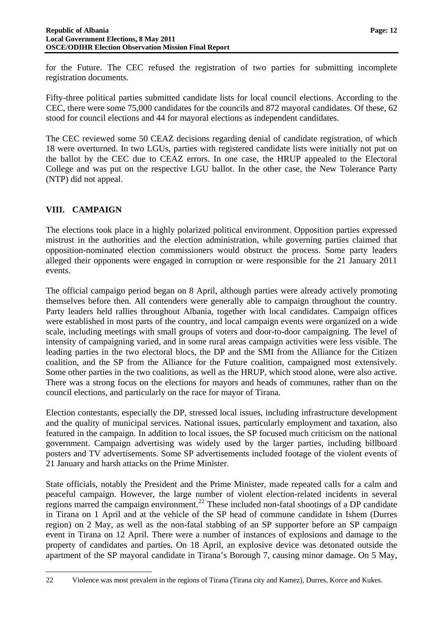for the Future. The CEC refused the registration of two parties for submitting incomplete registration documents.

Fifty-three political parties submitted candidate lists for local council elections. According to the CEC, there were some 75,000 candidates for the councils and 872 mayoral candidates. Of these, 62 stood for council elections and 44 for mayoral elections as independent candidates.

The CEC reviewed some 50 CEAZ decisions regarding denial of candidate registration, of which 18 were overturned. In two LGUs, parties with registered candidate lists were initially not put on the ballot by the CEC due to CEAZ errors. In one case, the HRUP appealed to the Electoral College and was put on the respective LGU ballot. In the other case, the New Tolerance Party (NTP) did not appeal.

# <span id="page-13-0"></span>**VIII. CAMPAIGN**

<span id="page-13-1"></span> $\overline{a}$ 

The elections took place in a highly polarized political environment. Opposition parties expressed mistrust in the authorities and the election administration, while governing parties claimed that opposition-nominated election commissioners would obstruct the process. Some party leaders alleged their opponents were engaged in corruption or were responsible for the 21 January 2011 events.

The official campaign period began on 8 April, although parties were already actively promoting themselves before then. All contenders were generally able to campaign throughout the country. Party leaders held rallies throughout Albania, together with local candidates. Campaign offices were established in most parts of the country, and local campaign events were organized on a wide scale, including meetings with small groups of voters and door-to-door campaigning. The level of intensity of campaigning varied, and in some rural areas campaign activities were less visible. The leading parties in the two electoral blocs, the DP and the SMI from the Alliance for the Citizen coalition, and the SP from the Alliance for the Future coalition, campaigned most extensively. Some other parties in the two coalitions, as well as the HRUP, which stood alone, were also active. There was a strong focus on the elections for mayors and heads of communes, rather than on the council elections, and particularly on the race for mayor of Tirana.

Election contestants, especially the DP, stressed local issues, including infrastructure development and the quality of municipal services. National issues, particularly employment and taxation, also featured in the campaign. In addition to local issues, the SP focused much criticism on the national government. Campaign advertising was widely used by the larger parties, including billboard posters and TV advertisements. Some SP advertisements included footage of the violent events of 21 January and harsh attacks on the Prime Minister.

State officials, notably the President and the Prime Minister, made repeated calls for a calm and peaceful campaign. However, the large number of violent election-related incidents in several regions marred the campaign environment.<sup>[22](#page-12-1)</sup> These included non-fatal shootings of a DP candidate in Tirana on 1 April and at the vehicle of the SP head of commune candidate in Ishem (Durres region) on 2 May, as well as the non-fatal stabbing of an SP supporter before an SP campaign event in Tirana on 12 April. There were a number of instances of explosions and damage to the property of candidates and parties. On 18 April, an explosive device was detonated outside the apartment of the SP mayoral candidate in Tirana's Borough 7, causing minor damage. On 5 May,

22 Violence was most prevalent in the regions of Tirana (Tirana city and Kamez), Durres, Korce and Kukes.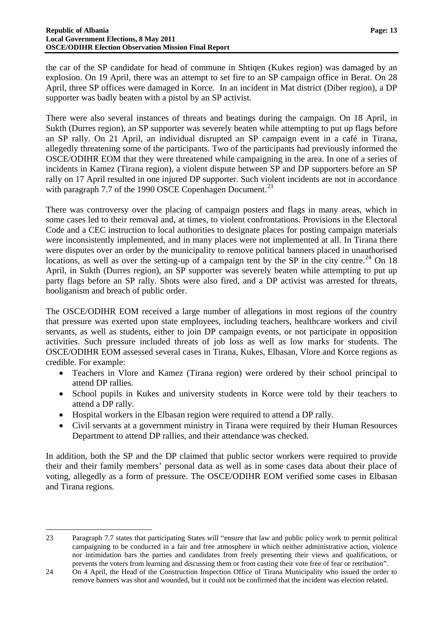the car of the SP candidate for head of commune in Shtiqen (Kukes region) was damaged by an explosion. On 19 April, there was an attempt to set fire to an SP campaign office in Berat. On 28 April, three SP offices were damaged in Korce. In an incident in Mat district (Diber region), a DP supporter was badly beaten with a pistol by an SP activist.

There were also several instances of threats and beatings during the campaign. On 18 April, in Sukth (Durres region), an SP supporter was severely beaten while attempting to put up flags before an SP rally. On 21 April, an individual disrupted an SP campaign event in a café in Tirana, allegedly threatening some of the participants. Two of the participants had previously informed the OSCE/ODIHR EOM that they were threatened while campaigning in the area. In one of a series of incidents in Kamez (Tirana region), a violent dispute between SP and DP supporters before an SP rally on 17 April resulted in one injured DP supporter. Such violent incidents are not in accordance with paragraph 7.7 of the 1990 OSCE Copenhagen Document.<sup>[23](#page-13-1)</sup>

There was controversy over the placing of campaign posters and flags in many areas, which in some cases led to their removal and, at times, to violent confrontations. Provisions in the Electoral Code and a CEC instruction to local authorities to designate places for posting campaign materials were inconsistently implemented, and in many places were not implemented at all. In Tirana there were disputes over an order by the municipality to remove political banners placed in unauthorised locations, as well as over the setting-up of a campaign tent by the SP in the city centre.<sup>[24](#page-14-0)</sup> On 18 April, in Sukth (Durres region), an SP supporter was severely beaten while attempting to put up party flags before an SP rally. Shots were also fired, and a DP activist was arrested for threats, hooliganism and breach of public order.

The OSCE/ODIHR EOM received a large number of allegations in most regions of the country that pressure was exerted upon state employees, including teachers, healthcare workers and civil servants, as well as students, either to join DP campaign events, or not participate in opposition activities. Such pressure included threats of job loss as well as low marks for students. The OSCE/ODIHR EOM assessed several cases in Tirana, Kukes, Elbasan, Vlore and Korce regions as credible. For example:

- Teachers in Vlore and Kamez (Tirana region) were ordered by their school principal to attend DP rallies.
- School pupils in Kukes and university students in Korce were told by their teachers to attend a DP rally.
- Hospital workers in the Elbasan region were required to attend a DP rally.

<span id="page-14-1"></span> $\overline{a}$ 

 Civil servants at a government ministry in Tirana were required by their Human Resources Department to attend DP rallies, and their attendance was checked.

In addition, both the SP and the DP claimed that public sector workers were required to provide their and their family members' personal data as well as in some cases data about their place of voting, allegedly as a form of pressure. The OSCE/ODIHR EOM verified some cases in Elbasan and Tirana regions.

<sup>23</sup> Paragraph 7.7 states that participating States will "ensure that law and public policy work to permit political campaigning to be conducted in a fair and free atmosphere in which neither administrative action, violence nor intimidation bars the parties and candidates from freely presenting their views and qualifications, or prevents the voters from learning and discussing them or from casting their vote free of fear or retribution".

<span id="page-14-0"></span><sup>24</sup> On 4 April, the Head of the Construction Inspection Office of Tirana Municipality who issued the order to remove banners was shot and wounded, but it could not be confirmed that the incident was election related.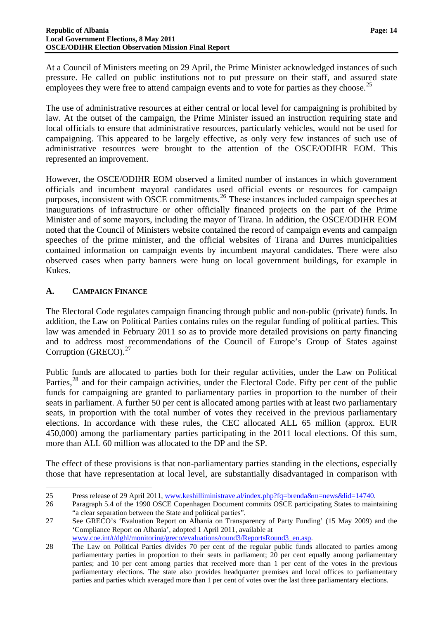At a Council of Ministers meeting on 29 April, the Prime Minister acknowledged instances of such pressure. He called on public institutions not to put pressure on their staff, and assured state employees they were free to attend campaign events and to vote for parties as they choose.<sup>[25](#page-14-1)</sup>

The use of administrative resources at either central or local level for campaigning is prohibited by law. At the outset of the campaign, the Prime Minister issued an instruction requiring state and local officials to ensure that administrative resources, particularly vehicles, would not be used for campaigning. This appeared to be largely effective, as only very few instances of such use of administrative resources were brought to the attention of the OSCE/ODIHR EOM. This represented an improvement.

However, the OSCE/ODIHR EOM observed a limited number of instances in which government officials and incumbent mayoral candidates used official events or resources for campaign purposes, inconsistent with OSCE commitments.<sup>[26](#page-15-1)</sup> These instances included campaign speeches at inaugurations of infrastructure or other officially financed projects on the part of the Prime Minister and of some mayors, including the mayor of Tirana. In addition, the OSCE/ODIHR EOM noted that the Council of Ministers website contained the record of campaign events and campaign speeches of the prime minister, and the official websites of Tirana and Durres municipalities contained information on campaign events by incumbent mayoral candidates. There were also observed cases when party banners were hung on local government buildings, for example in Kukes.

# <span id="page-15-0"></span>**A. CAMPAIGN FINANCE**

 $\overline{a}$ 

The Electoral Code regulates campaign financing through public and non-public (private) funds. In addition, the Law on Political Parties contains rules on the regular funding of political parties. This law was amended in February 2011 so as to provide more detailed provisions on party financing and to address most recommendations of the Council of Europe's Group of States against Corruption (GRECO).<sup>[27](#page-15-2)</sup>

Public funds are allocated to parties both for their regular activities, under the Law on Political Parties.<sup>[28](#page-15-3)</sup> and for their campaign activities, under the Electoral Code. Fifty per cent of the public funds for campaigning are granted to parliamentary parties in proportion to the number of their seats in parliament. A further 50 per cent is allocated among parties with at least two parliamentary seats, in proportion with the total number of votes they received in the previous parliamentary elections. In accordance with these rules, the CEC allocated ALL 65 million (approx. EUR 450,000) among the parliamentary parties participating in the 2011 local elections. Of this sum, more than ALL 60 million was allocated to the DP and the SP.

The effect of these provisions is that non-parliamentary parties standing in the elections, especially those that have representation at local level, are substantially disadvantaged in comparison with

<sup>25</sup> Press release of 29 April 2011, www.keshilliministrave.al/index.php?fq=brenda&m=news&lid=14740.

<span id="page-15-4"></span><span id="page-15-1"></span><sup>26</sup> Paragraph 5.4 of the 1990 OSCE Copenhagen Document commits OSCE participating States to maintaining "a clear separation between the State and political parties".

<span id="page-15-2"></span><sup>27</sup> See GRECO's 'Evaluation Report on Albania on Transparency of Party Funding' (15 May 2009) and the 'Compliance Report on Albania', adopted 1 April 2011, available at [www.coe.int/t/dghl/monitoring/greco/evaluations/round3/ReportsRound3\\_en.asp](http://www.coe.int/t/dghl/monitoring/greco/evaluations/round3/ReportsRound3_en.asp).

<span id="page-15-3"></span><sup>28</sup> The Law on Political Parties divides 70 per cent of the regular public funds allocated to parties among parliamentary parties in proportion to their seats in parliament; 20 per cent equally among parliamentary parties; and 10 per cent among parties that received more than 1 per cent of the votes in the previous parliamentary elections. The state also provides headquarter premises and local offices to parliamentary parties and parties which averaged more than 1 per cent of votes over the last three parliamentary elections.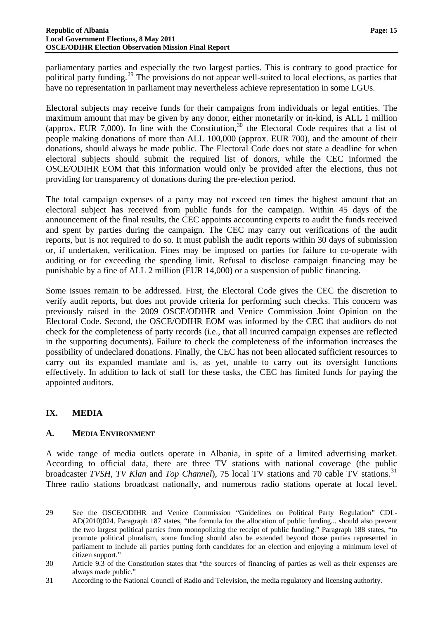parliamentary parties and especially the two largest parties. This is contrary to good practice for political party funding.[29](#page-15-4) The provisions do not appear well-suited to local elections, as parties that have no representation in parliament may nevertheless achieve representation in some LGUs.

Electoral subjects may receive funds for their campaigns from individuals or legal entities. The maximum amount that may be given by any donor, either monetarily or in-kind, is ALL 1 million (approx. EUR 7,000). In line with the Constitution,<sup>[30](#page-16-2)</sup> the Electoral Code requires that a list of people making donations of more than ALL 100,000 (approx. EUR 700), and the amount of their donations, should always be made public. The Electoral Code does not state a deadline for when electoral subjects should submit the required list of donors, while the CEC informed the OSCE/ODIHR EOM that this information would only be provided after the elections, thus not providing for transparency of donations during the pre-election period.

The total campaign expenses of a party may not exceed ten times the highest amount that an electoral subject has received from public funds for the campaign. Within 45 days of the announcement of the final results, the CEC appoints accounting experts to audit the funds received and spent by parties during the campaign. The CEC may carry out verifications of the audit reports, but is not required to do so. It must publish the audit reports within 30 days of submission or, if undertaken, verification. Fines may be imposed on parties for failure to co-operate with auditing or for exceeding the spending limit. Refusal to disclose campaign financing may be punishable by a fine of ALL 2 million (EUR 14,000) or a suspension of public financing.

Some issues remain to be addressed. First, the Electoral Code gives the CEC the discretion to verify audit reports, but does not provide criteria for performing such checks. This concern was previously raised in the 2009 OSCE/ODIHR and Venice Commission Joint Opinion on the Electoral Code. Second, the OSCE/ODIHR EOM was informed by the CEC that auditors do not check for the completeness of party records (i.e., that all incurred campaign expenses are reflected in the supporting documents). Failure to check the completeness of the information increases the possibility of undeclared donations. Finally, the CEC has not been allocated sufficient resources to carry out its expanded mandate and is, as yet, unable to carry out its oversight functions effectively. In addition to lack of staff for these tasks, the CEC has limited funds for paying the appointed auditors.

# <span id="page-16-0"></span>**IX. MEDIA**

 $\overline{a}$ 

#### <span id="page-16-1"></span>**A. MEDIA ENVIRONMENT**

<span id="page-16-4"></span>A wide range of media outlets operate in Albania, in spite of a limited advertising market. According to official data, there are three TV stations with national coverage (the public broadcaster *TVSH*, *TV Klan* and *Top Channel*), 75 local *TV* stations and 70 cable *TV* stations.<sup>[31](#page-16-3)</sup> Three radio stations broadcast nationally, and numerous radio stations operate at local level.

<sup>29</sup> See the OSCE/ODIHR and Venice Commission "Guidelines on Political Party Regulation" CDL-AD(2010)024. Paragraph 187 states, "the formula for the allocation of public funding... should also prevent the two largest political parties from monopolizing the receipt of public funding." Paragraph 188 states, "to promote political pluralism, some funding should also be extended beyond those parties represented in parliament to include all parties putting forth candidates for an election and enjoying a minimum level of citizen support."

<span id="page-16-2"></span><sup>30</sup> Article 9.3 of the Constitution states that "the sources of financing of parties as well as their expenses are always made public."

<span id="page-16-3"></span><sup>31</sup> According to the National Council of Radio and Television, the media regulatory and licensing authority.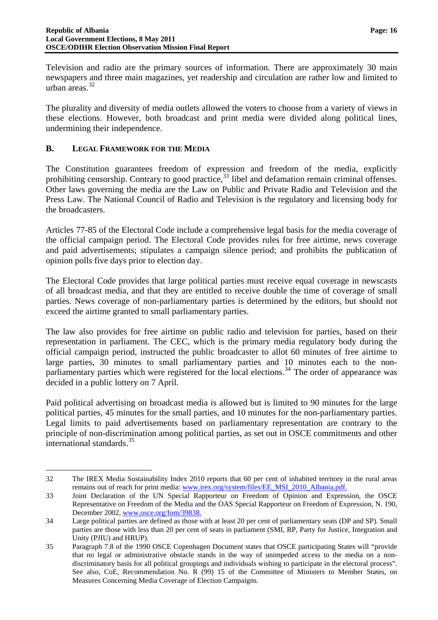Television and radio are the primary sources of information. There are approximately 30 main newspapers and three main magazines, yet readership and circulation are rather low and limited to urban areas.[32](#page-16-4)

The plurality and diversity of media outlets allowed the voters to choose from a variety of views in these elections. However, both broadcast and print media were divided along political lines, undermining their independence.

#### <span id="page-17-0"></span>**B. LEGAL FRAMEWORK FOR THE MEDIA**

 $\overline{a}$ 

The Constitution guarantees freedom of expression and freedom of the media, explicitly prohibiting censorship. Contrary to good practice,<sup>[33](#page-17-1)</sup> libel and defamation remain criminal offenses. Other laws governing the media are the Law on Public and Private Radio and Television and the Press Law. The National Council of Radio and Television is the regulatory and licensing body for the broadcasters.

Articles 77-85 of the Electoral Code include a comprehensive legal basis for the media coverage of the official campaign period. The Electoral Code provides rules for free airtime, news coverage and paid advertisements; stipulates a campaign silence period; and prohibits the publication of opinion polls five days prior to election day.

The Electoral Code provides that large political parties must receive equal coverage in newscasts of all broadcast media, and that they are entitled to receive double the time of coverage of small parties. News coverage of non-parliamentary parties is determined by the editors, but should not exceed the airtime granted to small parliamentary parties.

The law also provides for free airtime on public radio and television for parties, based on their representation in parliament. The CEC, which is the primary media regulatory body during the official campaign period, instructed the public broadcaster to allot 60 minutes of free airtime to large parties, 30 minutes to small parliamentary parties and 10 minutes each to the non-parliamentary parties which were registered for the local elections.<sup>[34](#page-17-2)</sup> The order of appearance was decided in a public lottery on 7 April.

Paid political advertising on broadcast media is allowed but is limited to 90 minutes for the large political parties, 45 minutes for the small parties, and 10 minutes for the non-parliamentary parties. Legal limits to paid advertisements based on parliamentary representation are contrary to the principle of non-discrimination among political parties, as set out in OSCE commitments and other international standards.<sup>[35](#page-17-3)</sup>

<span id="page-17-4"></span><sup>32</sup> The IREX Media Sustainability Index 2010 reports that 60 per cent of inhabited territory in the rural areas remains out of reach for print media: [www.irex.org/system/files/EE\\_MSI\\_2010\\_Albania.pdf](file://C:%5CDocuments%20and%20Settings%5CMAltinoz%5CLocal%20Settings%5CTemp%5CLocal%20Settings%5CTemp%5CAppData%5CLocal%5CLocal%20Settings%5CTemp%5CLocal%20Settings%5CTemp%5CLocal%20Settings%5CTemp%5CLocal%20Settings%5CTemp%5CAppData%5CLocal%5CLocal%20Settings%5CRLappin%5CNSchmidt%5CLocal%20Settings%5CTemp%5CJonathan%5CMy%20Documents%5CDownloads%5Cwww.irex.org%5Csystem%5Cfiles%5CEE_MSI_2010_Albania.pdf).

<span id="page-17-1"></span><sup>33</sup> Joint Declaration of the UN Special Rapporteur on Freedom of Opinion and Expression, the OSCE Representative on Freedom of the Media and the OAS Special Rapporteur on Freedom of Expression, N. 190, December 2002, www.osce.org/fom/39838.

<span id="page-17-2"></span><sup>34</sup> Large political parties are defined as those with at least 20 per cent of parliamentary seats (DP and SP). Small parties are those with less than 20 per cent of seats in parliament (SMI, RP, Party for Justice, Integration and Unity (PJIU) and HRUP).

<span id="page-17-3"></span><sup>35</sup> Paragraph 7.8 of the 1990 OSCE Copenhagen Document states that OSCE participating States will "provide that no legal or administrative obstacle stands in the way of unimpeded access to the media on a nondiscriminatory basis for all political groupings and individuals wishing to participate in the electoral process". See also, CoE, Recommendation No. R (99) 15 of the Committee of Ministers to Member States, on Measures Concerning Media Coverage of Election Campaigns.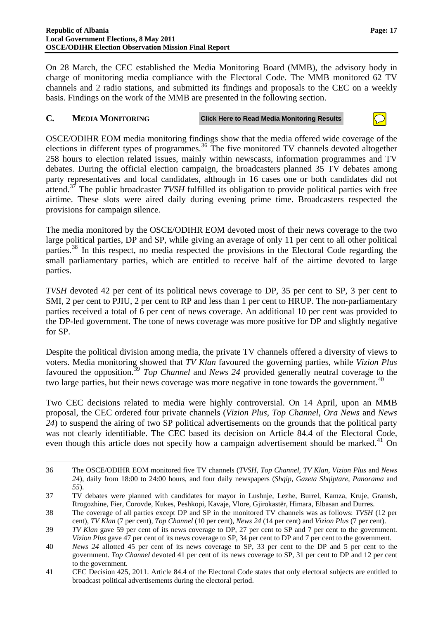On 28 March, the CEC established the Media Monitoring Board (MMB), the advisory body in charge of monitoring media compliance with the Electoral Code. The MMB monitored 62 TV channels and 2 radio stations, and submitted its findings and proposals to the CEC on a weekly basis. Findings on the work of the MMB are presented in the following section.

#### <span id="page-18-0"></span>**C. MEDIA MONITORING Click Here to Read Media Monitoring Results**

OSCE/ODIHR EOM media monitoring findings show that the media offered wide coverage of the elections in different types of programmes.<sup>[36](#page-17-4)</sup> The five monitored TV channels devoted altogether 258 hours to election related issues, mainly within newscasts, information programmes and TV debates. During the official election campaign, the broadcasters planned 35 TV debates among party representatives and local candidates, although in 16 cases one or both candidates did not attend.[37](#page-18-1) The public broadcaster *TVSH* fulfilled its obligation to provide political parties with free airtime. These slots were aired daily during evening prime time. Broadcasters respected the provisions for campaign silence.

The media monitored by the OSCE/ODIHR EOM devoted most of their news coverage to the two large political parties, DP and SP, while giving an average of only 11 per cent to all other political parties.<sup>[38](#page-18-2)</sup> In this respect, no media respected the provisions in the Electoral Code regarding the small parliamentary parties, which are entitled to receive half of the airtime devoted to large parties.

*TVSH* devoted 42 per cent of its political news coverage to DP, 35 per cent to SP, 3 per cent to SMI, 2 per cent to PJIU, 2 per cent to RP and less than 1 per cent to HRUP. The non-parliamentary parties received a total of 6 per cent of news coverage. An additional 10 per cent was provided to the DP-led government. The tone of news coverage was more positive for DP and slightly negative for SP.

Despite the political division among media, the private TV channels offered a diversity of views to voters. Media monitoring showed that *TV Klan* favoured the governing parties, while *Vizion Plus* favoured the opposition.[39](#page-18-3) *Top Channel* and *News 24* provided generally neutral coverage to the two large parties, but their news coverage was more negative in tone towards the government.<sup>[40](#page-18-4)</sup>

Two CEC decisions related to media were highly controversial. On 14 April, upon an MMB proposal, the CEC ordered four private channels (*Vizion Plus*, *Top Channel*, *Ora News* and *News 24*) to suspend the airing of two SP political advertisements on the grounds that the political party was not clearly identifiable. The CEC based its decision on Article 84.4 of the Electoral Code, even though this article does not specify how a campaign advertisement should be marked.<sup>[41](#page-18-5)</sup> On

 $\overline{a}$ 36 The OSCE/ODIHR EOM monitored five TV channels (*TVSH, Top Channel, TV Klan, Vizion Plus* and *News 24*), daily from 18:00 to 24:00 hours, and four daily newspapers (*Shqip*, *Gazeta Shqiptare*, *Panorama* and *55*).

<span id="page-18-6"></span><span id="page-18-1"></span><sup>37</sup> TV debates were planned with candidates for mayor in Lushnje, Lezhe, Burrel, Kamza, Kruje, Gramsh, Rrogozhine, Fier, Corovde, Kukes, Peshkopi, Kavaje, Vlore, Gjirokastër, Himara, Elbasan and Durres.

<span id="page-18-2"></span><sup>38</sup> The coverage of all parties except DP and SP in the monitored TV channels was as follows: *TVSH* (12 per cent), *TV Klan* (7 per cent), *Top Channel* (10 per cent), *News 24* (14 per cent) and *Vizion Plus* (7 per cent).

<span id="page-18-3"></span><sup>39</sup> *TV Klan* gave 59 per cent of its news coverage to DP, 27 per cent to SP and 7 per cent to the government. *Vizion Plus* gave 47 per cent of its news coverage to SP, 34 per cent to DP and 7 per cent to the government.

<span id="page-18-4"></span><sup>40</sup> *News 24* allotted 45 per cent of its news coverage to SP, 33 per cent to the DP and 5 per cent to the government. *Top Channel* devoted 41 per cent of its news coverage to SP, 31 per cent to DP and 12 per cent to the government.

<span id="page-18-5"></span><sup>41</sup> CEC Decision 425, 2011. Article 84.4 of the Electoral Code states that only electoral subjects are entitled to broadcast political advertisements during the electoral period.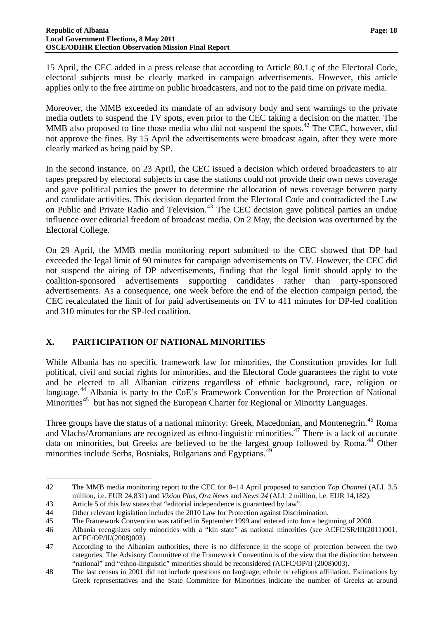15 April, the CEC added in a press release that according to Article 80.1.ç of the Electoral Code, electoral subjects must be clearly marked in campaign advertisements. However, this article applies only to the free airtime on public broadcasters, and not to the paid time on private media.

Moreover, the MMB exceeded its mandate of an advisory body and sent warnings to the private media outlets to suspend the TV spots, even prior to the CEC taking a decision on the matter. The MMB also proposed to fine those media who did not suspend the spots.<sup>[42](#page-18-6)</sup> The CEC, however, did not approve the fines. By 15 April the advertisements were broadcast again, after they were more clearly marked as being paid by SP.

In the second instance, on 23 April, the CEC issued a decision which ordered broadcasters to air tapes prepared by electoral subjects in case the stations could not provide their own news coverage and gave political parties the power to determine the allocation of news coverage between party and candidate activities. This decision departed from the Electoral Code and contradicted the Law on Public and Private Radio and Television.<sup>[43](#page-19-1)</sup> The CEC decision gave political parties an undue influence over editorial freedom of broadcast media. On 2 May, the decision was overturned by the Electoral College.

On 29 April, the MMB media monitoring report submitted to the CEC showed that DP had exceeded the legal limit of 90 minutes for campaign advertisements on TV. However, the CEC did not suspend the airing of DP advertisements, finding that the legal limit should apply to the coalition-sponsored advertisements supporting candidates rather than party-sponsored advertisements. As a consequence, one week before the end of the election campaign period, the CEC recalculated the limit of for paid advertisements on TV to 411 minutes for DP-led coalition and 310 minutes for the SP-led coalition.

# <span id="page-19-0"></span>**X. PARTICIPATION OF NATIONAL MINORITIES**

While Albania has no specific framework law for minorities, the Constitution provides for full political, civil and social rights for minorities, and the Electoral Code guarantees the right to vote and be elected to all Albanian citizens regardless of ethnic background, race, religion or language.<sup>[44](#page-19-2)</sup> Albania is party to the CoE's Framework Convention for the Protection of National Minorities<sup>[45](#page-19-3)</sup> but has not signed the European Charter for Regional or Minority Languages.

Three groups have the status of a national minority: Greek, Macedonian, and Montenegrin.<sup>[46](#page-19-4)</sup> Roma and Vlachs/Aromanians are recognized as ethno-linguistic minorities.[47](#page-19-5) There is a lack of accurate data on minorities, but Greeks are believed to be the largest group followed by Roma.<sup>[48](#page-19-6)</sup> Other minorities include Serbs, Bosniaks, Bulgarians and Egyptians.<sup>[49](#page-19-4)</sup>

 $\overline{a}$ 

<sup>42</sup> The MMB media monitoring report to the CEC for 8–14 April proposed to sanction *Top Channel* (ALL 3.5 million, i.e. EUR 24,831) and *Vizion Plus*, *Ora News* and *News 24* (ALL 2 million, i.e. EUR 14,182).

<span id="page-19-1"></span><sup>43</sup> Article 5 of this law states that "editorial independence is guaranteed by law".

<span id="page-19-2"></span><sup>44</sup> Other relevant legislation includes the 2010 Law for Protection against Discrimination.

<span id="page-19-3"></span><sup>45</sup> The Framework Convention was ratified in September 1999 and entered into force beginning of 2000.

<span id="page-19-7"></span><span id="page-19-4"></span><sup>46</sup> Albania recognizes only minorities with a "kin state" as national minorities (see ACFC/SR/III(2011)001, ACFC/OP/II/(2008)003).

<span id="page-19-5"></span><sup>47</sup> According to the Albanian authorities, there is no difference in the scope of protection between the two categories. The Advisory Committee of the Framework Convention is of the view that the distinction between "national" and "ethno-linguistic" minorities should be reconsidered (ACFC/OP/II (2008)003).

<span id="page-19-6"></span><sup>48</sup> The last census in 2001 did not include questions on language, ethnic or religious affiliation. Estimations by Greek representatives and the State Committee for Minorities indicate the number of Greeks at around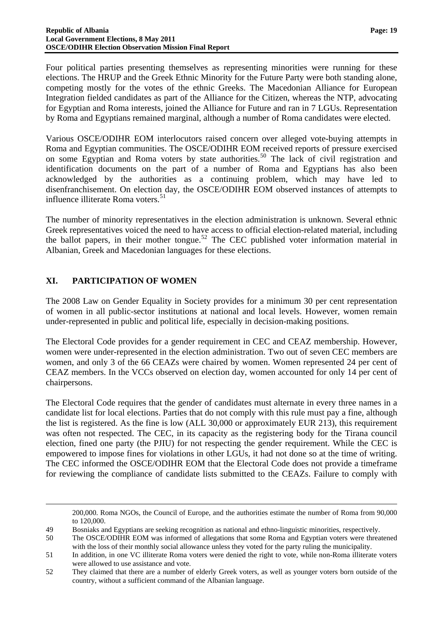Four political parties presenting themselves as representing minorities were running for these elections. The HRUP and the Greek Ethnic Minority for the Future Party were both standing alone, competing mostly for the votes of the ethnic Greeks. The Macedonian Alliance for European Integration fielded candidates as part of the Alliance for the Citizen, whereas the NTP, advocating for Egyptian and Roma interests, joined the Alliance for Future and ran in 7 LGUs. Representation by Roma and Egyptians remained marginal, although a number of Roma candidates were elected.

Various OSCE/ODIHR EOM interlocutors raised concern over alleged vote-buying attempts in Roma and Egyptian communities. The OSCE/ODIHR EOM received reports of pressure exercised on some Egyptian and Roma voters by state authorities.<sup>[50](#page-19-7)</sup> The lack of civil registration and identification documents on the part of a number of Roma and Egyptians has also been acknowledged by the authorities as a continuing problem, which may have led to disenfranchisement. On election day, the OSCE/ODIHR EOM observed instances of attempts to influence illiterate Roma voters.<sup>[51](#page-20-1)</sup>

The number of minority representatives in the election administration is unknown. Several ethnic Greek representatives voiced the need to have access to official election-related material, including the ballot papers, in their mother tongue.<sup>[52](#page-20-2)</sup> The CEC published voter information material in Albanian, Greek and Macedonian languages for these elections.

# <span id="page-20-0"></span>**XI. PARTICIPATION OF WOMEN**

 $\overline{a}$ 

The 2008 Law on Gender Equality in Society provides for a minimum 30 per cent representation of women in all public-sector institutions at national and local levels. However, women remain under-represented in public and political life, especially in decision-making positions.

The Electoral Code provides for a gender requirement in CEC and CEAZ membership. However, women were under-represented in the election administration. Two out of seven CEC members are women, and only 3 of the 66 CEAZs were chaired by women. Women represented 24 per cent of CEAZ members. In the VCCs observed on election day, women accounted for only 14 per cent of chairpersons.

The Electoral Code requires that the gender of candidates must alternate in every three names in a candidate list for local elections. Parties that do not comply with this rule must pay a fine, although the list is registered. As the fine is low (ALL 30,000 or approximately EUR 213), this requirement was often not respected. The CEC, in its capacity as the registering body for the Tirana council election, fined one party (the PJIU) for not respecting the gender requirement. While the CEC is empowered to impose fines for violations in other LGUs, it had not done so at the time of writing. The CEC informed the OSCE/ODIHR EOM that the Electoral Code does not provide a timeframe for reviewing the compliance of candidate lists submitted to the CEAZs. Failure to comply with

200,000. Roma NGOs, the Council of Europe, and the authorities estimate the number of Roma from 90,000 to 120,000.

49 Bosniaks and Egyptians are seeking recognition as national and ethno-linguistic minorities, respectively.

<span id="page-20-3"></span><sup>50</sup> The OSCE/ODIHR EOM was informed of allegations that some Roma and Egyptian voters were threatened with the loss of their monthly social allowance unless they voted for the party ruling the municipality.

<span id="page-20-1"></span><sup>51</sup> In addition, in one VC illiterate Roma voters were denied the right to vote, while non-Roma illiterate voters were allowed to use assistance and vote.

<span id="page-20-2"></span><sup>52</sup> They claimed that there are a number of elderly Greek voters, as well as younger voters born outside of the country, without a sufficient command of the Albanian language.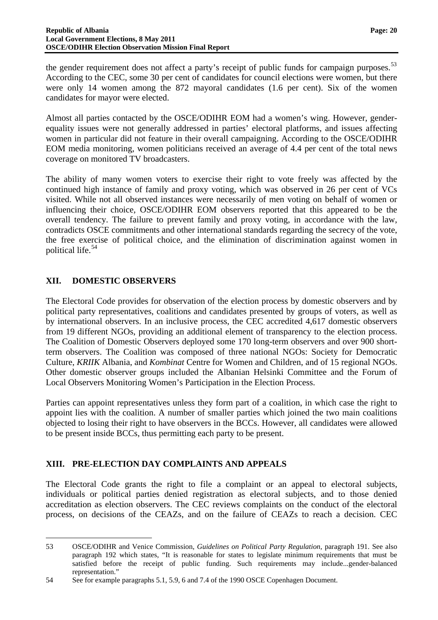the gender requirement does not affect a party's receipt of public funds for campaign purposes.<sup>[53](#page-20-3)</sup> According to the CEC, some 30 per cent of candidates for council elections were women, but there were only 14 women among the 872 mayoral candidates (1.6 per cent). Six of the women candidates for mayor were elected.

Almost all parties contacted by the OSCE/ODIHR EOM had a women's wing. However, genderequality issues were not generally addressed in parties' electoral platforms, and issues affecting women in particular did not feature in their overall campaigning. According to the OSCE/ODIHR EOM media monitoring, women politicians received an average of 4.4 per cent of the total news coverage on monitored TV broadcasters.

The ability of many women voters to exercise their right to vote freely was affected by the continued high instance of family and proxy voting, which was observed in 26 per cent of VCs visited. While not all observed instances were necessarily of men voting on behalf of women or influencing their choice, OSCE/ODIHR EOM observers reported that this appeared to be the overall tendency. The failure to prevent family and proxy voting, in accordance with the law, contradicts OSCE commitments and other international standards regarding the secrecy of the vote, the free exercise of political choice, and the elimination of discrimination against women in political life.[54](#page-21-2)

# <span id="page-21-0"></span>**XII. DOMESTIC OBSERVERS**

 $\overline{a}$ 

The Electoral Code provides for observation of the election process by domestic observers and by political party representatives, coalitions and candidates presented by groups of voters, as well as by international observers. In an inclusive process, the CEC accredited 4,617 domestic observers from 19 different NGOs, providing an additional element of transparency to the election process. The Coalition of Domestic Observers deployed some 170 long-term observers and over 900 shortterm observers. The Coalition was composed of three national NGOs: Society for Democratic Culture, *KRIIK* Albania, and *Kombinat* Centre for Women and Children, and of 15 regional NGOs. Other domestic observer groups included the Albanian Helsinki Committee and the Forum of Local Observers Monitoring Women's Participation in the Election Process.

Parties can appoint representatives unless they form part of a coalition, in which case the right to appoint lies with the coalition. A number of smaller parties which joined the two main coalitions objected to losing their right to have observers in the BCCs. However, all candidates were allowed to be present inside BCCs, thus permitting each party to be present.

# <span id="page-21-1"></span>**XIII. PRE-ELECTION DAY COMPLAINTS AND APPEALS**

The Electoral Code grants the right to file a complaint or an appeal to electoral subjects, individuals or political parties denied registration as electoral subjects, and to those denied accreditation as election observers. The CEC reviews complaints on the conduct of the electoral process, on decisions of the CEAZs, and on the failure of CEAZs to reach a decision. CEC

<span id="page-21-3"></span><sup>53</sup> OSCE/ODIHR and Venice Commission, *Guidelines on Political Party Regulation*, paragraph 191. See also paragraph 192 which states, "It is reasonable for states to legislate minimum requirements that must be satisfied before the receipt of public funding. Such requirements may include...gender-balanced representation."

<span id="page-21-2"></span><sup>54</sup> See for example paragraphs 5.1, 5.9, 6 and 7.4 of the 1990 OSCE Copenhagen Document.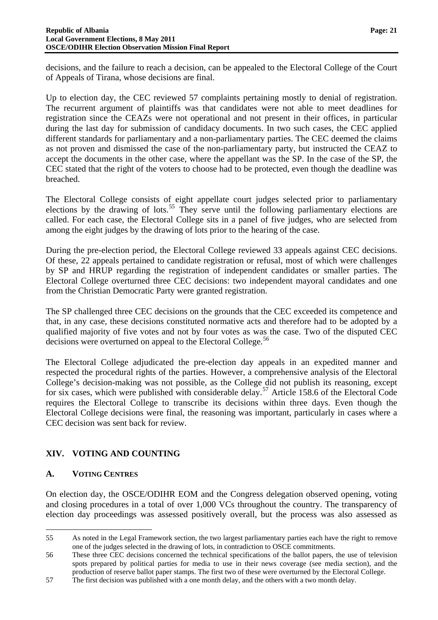#### **Republic of Albania** Page: 21 **Local Government Elections, 8 May 2011 OSCE/ODIHR Election Observation Mission Final Report**

decisions, and the failure to reach a decision, can be appealed to the Electoral College of the Court of Appeals of Tirana, whose decisions are final.

Up to election day, the CEC reviewed 57 complaints pertaining mostly to denial of registration. The recurrent argument of plaintiffs was that candidates were not able to meet deadlines for registration since the CEAZs were not operational and not present in their offices, in particular during the last day for submission of candidacy documents. In two such cases, the CEC applied different standards for parliamentary and a non-parliamentary parties. The CEC deemed the claims as not proven and dismissed the case of the non-parliamentary party, but instructed the CEAZ to accept the documents in the other case, where the appellant was the SP. In the case of the SP, the CEC stated that the right of the voters to choose had to be protected, even though the deadline was breached.

The Electoral College consists of eight appellate court judges selected prior to parliamentary elections by the drawing of lots.<sup>[55](#page-21-3)</sup> They serve until the following parliamentary elections are called. For each case, the Electoral College sits in a panel of five judges, who are selected from among the eight judges by the drawing of lots prior to the hearing of the case.

During the pre-election period, the Electoral College reviewed 33 appeals against CEC decisions. Of these, 22 appeals pertained to candidate registration or refusal, most of which were challenges by SP and HRUP regarding the registration of independent candidates or smaller parties. The Electoral College overturned three CEC decisions: two independent mayoral candidates and one from the Christian Democratic Party were granted registration.

The SP challenged three CEC decisions on the grounds that the CEC exceeded its competence and that, in any case, these decisions constituted normative acts and therefore had to be adopted by a qualified majority of five votes and not by four votes as was the case. Two of the disputed CEC decisions were overturned on appeal to the Electoral College.<sup>[56](#page-22-2)</sup>

The Electoral College adjudicated the pre-election day appeals in an expedited manner and respected the procedural rights of the parties. However, a comprehensive analysis of the Electoral College's decision-making was not possible, as the College did not publish its reasoning, except for six cases, which were published with considerable delay.<sup>[57](#page-22-3)</sup> Article 158.6 of the Electoral Code requires the Electoral College to transcribe its decisions within three days. Even though the Electoral College decisions were final, the reasoning was important, particularly in cases where a CEC decision was sent back for review.

# <span id="page-22-4"></span><span id="page-22-0"></span>**XIV. VOTING AND COUNTING**

# <span id="page-22-1"></span>**A. VOTING CENTRES**

 $\overline{a}$ 

On election day, the OSCE/ODIHR EOM and the Congress delegation observed opening, voting and closing procedures in a total of over 1,000 VCs throughout the country. The transparency of election day proceedings was assessed positively overall, but the process was also assessed as

<sup>55</sup> As noted in the Legal Framework section, the two largest parliamentary parties each have the right to remove one of the judges selected in the drawing of lots, in contradiction to OSCE commitments.

<span id="page-22-2"></span><sup>56</sup> These three CEC decisions concerned the technical specifications of the ballot papers, the use of television spots prepared by political parties for media to use in their news coverage (see media section), and the production of reserve ballot paper stamps. The first two of these were overturned by the Electoral College.

<span id="page-22-3"></span><sup>57</sup> The first decision was published with a one month delay, and the others with a two month delay.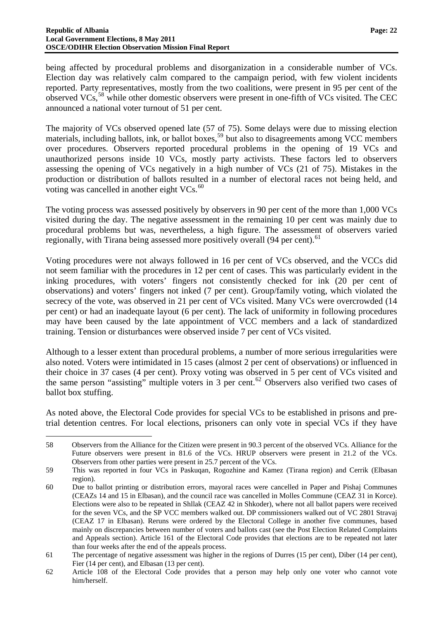$\overline{a}$ 

being affected by procedural problems and disorganization in a considerable number of VCs. Election day was relatively calm compared to the campaign period, with few violent incidents reported. Party representatives, mostly from the two coalitions, were present in 95 per cent of the observed VCs,<sup>[58](#page-22-4)</sup> while other domestic observers were present in one-fifth of VCs visited. The CEC announced a national voter turnout of 51 per cent.

The majority of VCs observed opened late (57 of 75). Some delays were due to missing election materials, including ballots, ink, or ballot boxes,<sup>[59](#page-23-0)</sup> but also to disagreements among VCC members over procedures. Observers reported procedural problems in the opening of 19 VCs and unauthorized persons inside 10 VCs, mostly party activists. These factors led to observers assessing the opening of VCs negatively in a high number of VCs (21 of 75). Mistakes in the production or distribution of ballots resulted in a number of electoral races not being held, and voting was cancelled in another eight  $VCs$ .<sup>[60](#page-23-1)</sup>

The voting process was assessed positively by observers in 90 per cent of the more than 1,000 VCs visited during the day. The negative assessment in the remaining 10 per cent was mainly due to procedural problems but was, nevertheless, a high figure. The assessment of observers varied regionally, with Tirana being assessed more positively overall (94 per cent).<sup>[61](#page-23-2)</sup>

Voting procedures were not always followed in 16 per cent of VCs observed, and the VCCs did not seem familiar with the procedures in 12 per cent of cases. This was particularly evident in the inking procedures, with voters' fingers not consistently checked for ink (20 per cent of observations) and voters' fingers not inked (7 per cent). Group/family voting, which violated the secrecy of the vote, was observed in 21 per cent of VCs visited. Many VCs were overcrowded (14 per cent) or had an inadequate layout (6 per cent). The lack of uniformity in following procedures may have been caused by the late appointment of VCC members and a lack of standardized training. Tension or disturbances were observed inside 7 per cent of VCs visited.

Although to a lesser extent than procedural problems, a number of more serious irregularities were also noted. Voters were intimidated in 15 cases (almost 2 per cent of observations) or influenced in their choice in 37 cases (4 per cent). Proxy voting was observed in 5 per cent of VCs visited and the same person "assisting" multiple voters in 3 per cent.<sup>[62](#page-23-3)</sup> Observers also verified two cases of ballot box stuffing.

As noted above, the Electoral Code provides for special VCs to be established in prisons and pretrial detention centres. For local elections, prisoners can only vote in special VCs if they have

<sup>58</sup> Observers from the Alliance for the Citizen were present in 90.3 percent of the observed VCs. Alliance for the Future observers were present in 81.6 of the VCs. HRUP observers were present in 21.2 of the VCs. Observers from other parties were present in 25.7 percent of the VCs.

<span id="page-23-0"></span><sup>59</sup> This was reported in four VCs in Paskuqan, Rogozhine and Kamez (Tirana region) and Cerrik (Elbasan region).

<span id="page-23-1"></span><sup>60</sup> Due to ballot printing or distribution errors, mayoral races were cancelled in Paper and Pishaj Communes (CEAZs 14 and 15 in Elbasan), and the council race was cancelled in Molles Commune (CEAZ 31 in Korce). Elections were also to be repeated in Shllak (CEAZ 42 in Shkoder), where not all ballot papers were received for the seven VCs, and the SP VCC members walked out. DP commissioners walked out of VC 2801 Stravaj (CEAZ 17 in Elbasan). Reruns were ordered by the Electoral College in another five communes, based mainly on discrepancies between number of voters and ballots cast (see the Post Election Related Complaints and Appeals section). Article 161 of the Electoral Code provides that elections are to be repeated not later than four weeks after the end of the appeals process.

<span id="page-23-4"></span><span id="page-23-2"></span><sup>61</sup> The percentage of negative assessment was higher in the regions of Durres (15 per cent), Diber (14 per cent), Fier (14 per cent), and Elbasan (13 per cent).

<span id="page-23-3"></span><sup>62</sup> Article 108 of the Electoral Code provides that a person may help only one voter who cannot vote him/herself.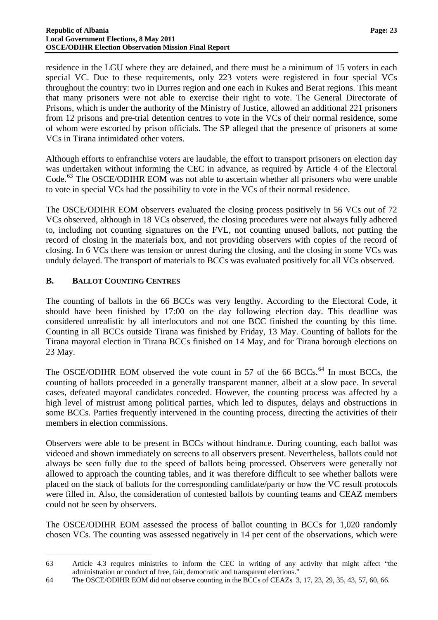residence in the LGU where they are detained, and there must be a minimum of 15 voters in each special VC. Due to these requirements, only 223 voters were registered in four special VCs throughout the country: two in Durres region and one each in Kukes and Berat regions. This meant that many prisoners were not able to exercise their right to vote. The General Directorate of Prisons, which is under the authority of the Ministry of Justice, allowed an additional 221 prisoners from 12 prisons and pre-trial detention centres to vote in the VCs of their normal residence, some of whom were escorted by prison officials. The SP alleged that the presence of prisoners at some VCs in Tirana intimidated other voters.

Although efforts to enfranchise voters are laudable, the effort to transport prisoners on election day was undertaken without informing the CEC in advance, as required by Article 4 of the Electoral Code.<sup>[63](#page-23-4)</sup> The OSCE/ODIHR EOM was not able to ascertain whether all prisoners who were unable to vote in special VCs had the possibility to vote in the VCs of their normal residence.

The OSCE/ODIHR EOM observers evaluated the closing process positively in 56 VCs out of 72 VCs observed, although in 18 VCs observed, the closing procedures were not always fully adhered to, including not counting signatures on the FVL, not counting unused ballots, not putting the record of closing in the materials box, and not providing observers with copies of the record of closing. In 6 VCs there was tension or unrest during the closing, and the closing in some VCs was unduly delayed. The transport of materials to BCCs was evaluated positively for all VCs observed.

#### <span id="page-24-0"></span>**B. BALLOT COUNTING CENTRES**

<span id="page-24-2"></span> $\overline{a}$ 

The counting of ballots in the 66 BCCs was very lengthy. According to the Electoral Code, it should have been finished by 17:00 on the day following election day. This deadline was considered unrealistic by all interlocutors and not one BCC finished the counting by this time. Counting in all BCCs outside Tirana was finished by Friday, 13 May. Counting of ballots for the Tirana mayoral election in Tirana BCCs finished on 14 May, and for Tirana borough elections on 23 May.

The OSCE/ODIHR EOM observed the vote count in 57 of the 66 BCCs.<sup>[64](#page-24-1)</sup> In most BCCs, the counting of ballots proceeded in a generally transparent manner, albeit at a slow pace. In several cases, defeated mayoral candidates conceded. However, the counting process was affected by a high level of mistrust among political parties, which led to disputes, delays and obstructions in some BCCs. Parties frequently intervened in the counting process, directing the activities of their members in election commissions.

Observers were able to be present in BCCs without hindrance. During counting, each ballot was videoed and shown immediately on screens to all observers present. Nevertheless, ballots could not always be seen fully due to the speed of ballots being processed. Observers were generally not allowed to approach the counting tables, and it was therefore difficult to see whether ballots were placed on the stack of ballots for the corresponding candidate/party or how the VC result protocols were filled in. Also, the consideration of contested ballots by counting teams and CEAZ members could not be seen by observers.

The OSCE/ODIHR EOM assessed the process of ballot counting in BCCs for 1,020 randomly chosen VCs. The counting was assessed negatively in 14 per cent of the observations, which were

<sup>63</sup> Article 4.3 requires ministries to inform the CEC in writing of any activity that might affect "the administration or conduct of free, fair, democratic and transparent elections."

<span id="page-24-1"></span><sup>64</sup> The OSCE/ODIHR EOM did not observe counting in the BCCs of CEAZs 3, 17, 23, 29, 35, 43, 57, 60, 66.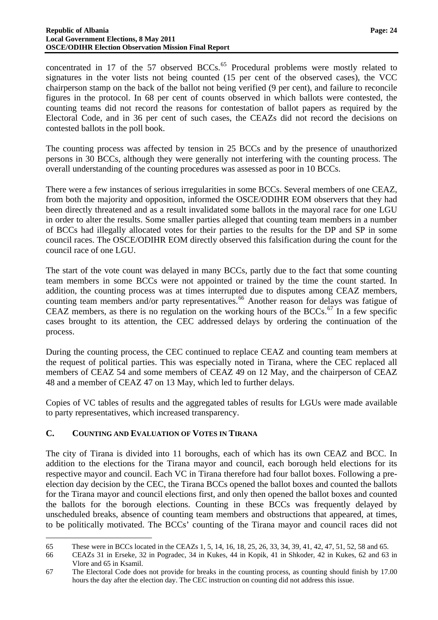concentrated in 17 of the 57 observed BCCs.<sup>[65](#page-24-2)</sup> Procedural problems were mostly related to signatures in the voter lists not being counted (15 per cent of the observed cases), the VCC chairperson stamp on the back of the ballot not being verified (9 per cent), and failure to reconcile figures in the protocol. In 68 per cent of counts observed in which ballots were contested, the counting teams did not record the reasons for contestation of ballot papers as required by the Electoral Code, and in 36 per cent of such cases, the CEAZs did not record the decisions on contested ballots in the poll book.

The counting process was affected by tension in 25 BCCs and by the presence of unauthorized persons in 30 BCCs, although they were generally not interfering with the counting process. The overall understanding of the counting procedures was assessed as poor in 10 BCCs.

There were a few instances of serious irregularities in some BCCs. Several members of one CEAZ, from both the majority and opposition, informed the OSCE/ODIHR EOM observers that they had been directly threatened and as a result invalidated some ballots in the mayoral race for one LGU in order to alter the results. Some smaller parties alleged that counting team members in a number of BCCs had illegally allocated votes for their parties to the results for the DP and SP in some council races. The OSCE/ODIHR EOM directly observed this falsification during the count for the council race of one LGU.

The start of the vote count was delayed in many BCCs, partly due to the fact that some counting team members in some BCCs were not appointed or trained by the time the count started. In addition, the counting process was at times interrupted due to disputes among CEAZ members, counting team members and/or party representatives.<sup>[66](#page-25-1)</sup> Another reason for delays was fatigue of CEAZ members, as there is no regulation on the working hours of the BCCs.<sup>[67](#page-25-2)</sup> In a few specific cases brought to its attention, the CEC addressed delays by ordering the continuation of the process.

During the counting process, the CEC continued to replace CEAZ and counting team members at the request of political parties. This was especially noted in Tirana, where the CEC replaced all members of CEAZ 54 and some members of CEAZ 49 on 12 May, and the chairperson of CEAZ 48 and a member of CEAZ 47 on 13 May, which led to further delays.

Copies of VC tables of results and the aggregated tables of results for LGUs were made available to party representatives, which increased transparency.

# <span id="page-25-0"></span>**C. COUNTING AND EVALUATION OF VOTES IN TIRANA**

The city of Tirana is divided into 11 boroughs, each of which has its own CEAZ and BCC. In addition to the elections for the Tirana mayor and council, each borough held elections for its respective mayor and council. Each VC in Tirana therefore had four ballot boxes. Following a preelection day decision by the CEC, the Tirana BCCs opened the ballot boxes and counted the ballots for the Tirana mayor and council elections first, and only then opened the ballot boxes and counted the ballots for the borough elections. Counting in these BCCs was frequently delayed by unscheduled breaks, absence of counting team members and obstructions that appeared, at times, to be politically motivated. The BCCs' counting of the Tirana mayor and council races did not

<span id="page-25-3"></span> $\overline{a}$ 65 These were in BCCs located in the CEAZs 1, 5, 14, 16, 18, 25, 26, 33, 34, 39, 41, 42, 47, 51, 52, 58 and 65.

<span id="page-25-1"></span><sup>66</sup> CEAZs 31 in Erseke, 32 in Pogradec, 34 in Kukes, 44 in Kopik, 41 in Shkoder, 42 in Kukes, 62 and 63 in Vlore and 65 in Ksamil.

<span id="page-25-2"></span><sup>67</sup> The Electoral Code does not provide for breaks in the counting process, as counting should finish by 17.00 hours the day after the election day. The CEC instruction on counting did not address this issue.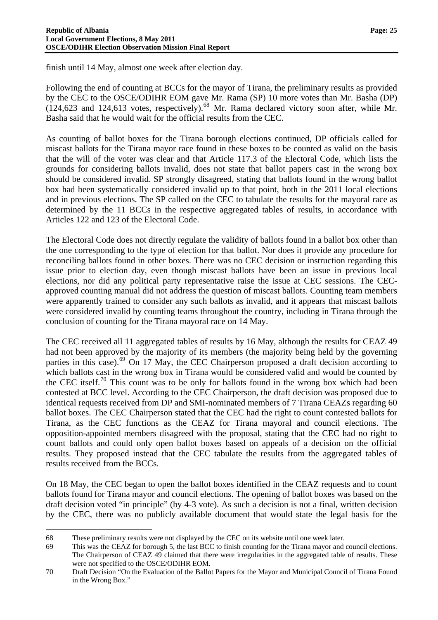finish until 14 May, almost one week after election day.

Following the end of counting at BCCs for the mayor of Tirana, the preliminary results as provided by the CEC to the OSCE/ODIHR EOM gave Mr. Rama (SP) 10 more votes than Mr. Basha (DP)  $(124,623$  and  $124,613$  votes, respectively).<sup>[68](#page-25-3)</sup> Mr. Rama declared victory soon after, while Mr. Basha said that he would wait for the official results from the CEC.

As counting of ballot boxes for the Tirana borough elections continued, DP officials called for miscast ballots for the Tirana mayor race found in these boxes to be counted as valid on the basis that the will of the voter was clear and that Article 117.3 of the Electoral Code, which lists the grounds for considering ballots invalid, does not state that ballot papers cast in the wrong box should be considered invalid. SP strongly disagreed, stating that ballots found in the wrong ballot box had been systematically considered invalid up to that point, both in the 2011 local elections and in previous elections. The SP called on the CEC to tabulate the results for the mayoral race as determined by the 11 BCCs in the respective aggregated tables of results, in accordance with Articles 122 and 123 of the Electoral Code.

The Electoral Code does not directly regulate the validity of ballots found in a ballot box other than the one corresponding to the type of election for that ballot. Nor does it provide any procedure for reconciling ballots found in other boxes. There was no CEC decision or instruction regarding this issue prior to election day, even though miscast ballots have been an issue in previous local elections, nor did any political party representative raise the issue at CEC sessions. The CECapproved counting manual did not address the question of miscast ballots. Counting team members were apparently trained to consider any such ballots as invalid, and it appears that miscast ballots were considered invalid by counting teams throughout the country, including in Tirana through the conclusion of counting for the Tirana mayoral race on 14 May.

The CEC received all 11 aggregated tables of results by 16 May, although the results for CEAZ 49 had not been approved by the majority of its members (the majority being held by the governing parties in this case).<sup>[69](#page-26-0)</sup> On 17 May, the CEC Chairperson proposed a draft decision according to which ballots cast in the wrong box in Tirana would be considered valid and would be counted by the CEC itself.<sup>[70](#page-26-1)</sup> This count was to be only for ballots found in the wrong box which had been contested at BCC level. According to the CEC Chairperson, the draft decision was proposed due to identical requests received from DP and SMI-nominated members of 7 Tirana CEAZs regarding 60 ballot boxes. The CEC Chairperson stated that the CEC had the right to count contested ballots for Tirana, as the CEC functions as the CEAZ for Tirana mayoral and council elections. The opposition-appointed members disagreed with the proposal, stating that the CEC had no right to count ballots and could only open ballot boxes based on appeals of a decision on the official results. They proposed instead that the CEC tabulate the results from the aggregated tables of results received from the BCCs.

On 18 May, the CEC began to open the ballot boxes identified in the CEAZ requests and to count ballots found for Tirana mayor and council elections. The opening of ballot boxes was based on the draft decision voted "in principle" (by 4-3 vote). As such a decision is not a final, written decision by the CEC, there was no publicly available document that would state the legal basis for the

 $\overline{a}$ 

<span id="page-26-2"></span><sup>68</sup> These preliminary results were not displayed by the CEC on its website until one week later.

<span id="page-26-0"></span><sup>69</sup> This was the CEAZ for borough 5, the last BCC to finish counting for the Tirana mayor and council elections. The Chairperson of CEAZ 49 claimed that there were irregularities in the aggregated table of results. These were not specified to the OSCE/ODIHR EOM.

<span id="page-26-1"></span><sup>70</sup> Draft Decision "On the Evaluation of the Ballot Papers for the Mayor and Municipal Council of Tirana Found in the Wrong Box."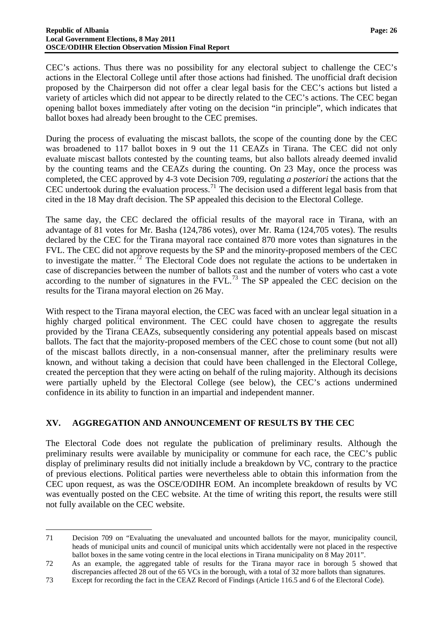CEC's actions. Thus there was no possibility for any electoral subject to challenge the CEC's actions in the Electoral College until after those actions had finished. The unofficial draft decision proposed by the Chairperson did not offer a clear legal basis for the CEC's actions but listed a variety of articles which did not appear to be directly related to the CEC's actions. The CEC began opening ballot boxes immediately after voting on the decision "in principle", which indicates that ballot boxes had already been brought to the CEC premises.

During the process of evaluating the miscast ballots, the scope of the counting done by the CEC was broadened to 117 ballot boxes in 9 out the 11 CEAZs in Tirana. The CEC did not only evaluate miscast ballots contested by the counting teams, but also ballots already deemed invalid by the counting teams and the CEAZs during the counting. On 23 May, once the process was completed, the CEC approved by 4-3 vote Decision 709, regulating *a posteriori* the actions that the CEC undertook during the evaluation process.<sup>[71](#page-26-2)</sup> The decision used a different legal basis from that cited in the 18 May draft decision. The SP appealed this decision to the Electoral College.

The same day, the CEC declared the official results of the mayoral race in Tirana, with an advantage of 81 votes for Mr. Basha (124,786 votes), over Mr. Rama (124,705 votes). The results declared by the CEC for the Tirana mayoral race contained 870 more votes than signatures in the FVL. The CEC did not approve requests by the SP and the minority-proposed members of the CEC to investigate the matter.<sup>[72](#page-27-1)</sup> The Electoral Code does not regulate the actions to be undertaken in case of discrepancies between the number of ballots cast and the number of voters who cast a vote according to the number of signatures in the FVL.<sup>[73](#page-27-2)</sup> The SP appealed the CEC decision on the results for the Tirana mayoral election on 26 May.

With respect to the Tirana mayoral election, the CEC was faced with an unclear legal situation in a highly charged political environment. The CEC could have chosen to aggregate the results provided by the Tirana CEAZs, subsequently considering any potential appeals based on miscast ballots. The fact that the majority-proposed members of the CEC chose to count some (but not all) of the miscast ballots directly, in a non-consensual manner, after the preliminary results were known, and without taking a decision that could have been challenged in the Electoral College, created the perception that they were acting on behalf of the ruling majority. Although its decisions were partially upheld by the Electoral College (see below), the CEC's actions undermined confidence in its ability to function in an impartial and independent manner.

#### <span id="page-27-0"></span>**XV. AGGREGATION AND ANNOUNCEMENT OF RESULTS BY THE CEC**

 $\overline{a}$ 

The Electoral Code does not regulate the publication of preliminary results. Although the preliminary results were available by municipality or commune for each race, the CEC's public display of preliminary results did not initially include a breakdown by VC, contrary to the practice of previous elections. Political parties were nevertheless able to obtain this information from the CEC upon request, as was the OSCE/ODIHR EOM. An incomplete breakdown of results by VC was eventually posted on the CEC website. At the time of writing this report, the results were still not fully available on the CEC website.

<sup>71</sup> Decision 709 on "Evaluating the unevaluated and uncounted ballots for the mayor, municipality council, heads of municipal units and council of municipal units which accidentally were not placed in the respective ballot boxes in the same voting centre in the local elections in Tirana municipality on 8 May 2011".

<span id="page-27-1"></span><sup>72</sup> As an example, the aggregated table of results for the Tirana mayor race in borough 5 showed that discrepancies affected 28 out of the 65 VCs in the borough, with a total of 32 more ballots than signatures.

<span id="page-27-2"></span><sup>73</sup> Except for recording the fact in the CEAZ Record of Findings (Article 116.5 and 6 of the Electoral Code).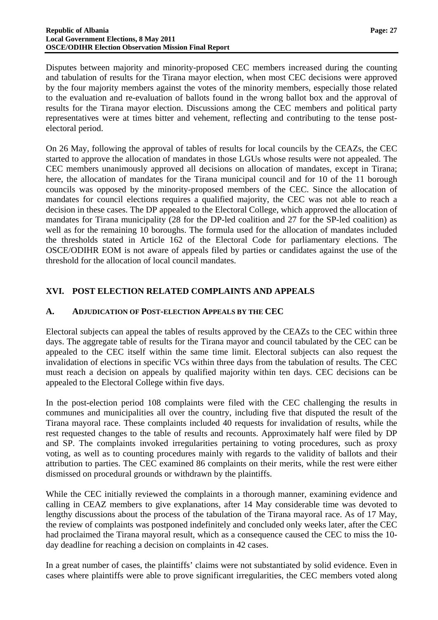Disputes between majority and minority-proposed CEC members increased during the counting and tabulation of results for the Tirana mayor election, when most CEC decisions were approved by the four majority members against the votes of the minority members, especially those related to the evaluation and re-evaluation of ballots found in the wrong ballot box and the approval of results for the Tirana mayor election. Discussions among the CEC members and political party representatives were at times bitter and vehement, reflecting and contributing to the tense postelectoral period.

On 26 May, following the approval of tables of results for local councils by the CEAZs, the CEC started to approve the allocation of mandates in those LGUs whose results were not appealed. The CEC members unanimously approved all decisions on allocation of mandates, except in Tirana; here, the allocation of mandates for the Tirana municipal council and for 10 of the 11 borough councils was opposed by the minority-proposed members of the CEC. Since the allocation of mandates for council elections requires a qualified majority, the CEC was not able to reach a decision in these cases. The DP appealed to the Electoral College, which approved the allocation of mandates for Tirana municipality (28 for the DP-led coalition and 27 for the SP-led coalition) as well as for the remaining 10 boroughs. The formula used for the allocation of mandates included the thresholds stated in Article 162 of the Electoral Code for parliamentary elections. The OSCE/ODIHR EOM is not aware of appeals filed by parties or candidates against the use of the threshold for the allocation of local council mandates.

# <span id="page-28-0"></span>**XVI. POST ELECTION RELATED COMPLAINTS AND APPEALS**

#### <span id="page-28-1"></span>**A. ADJUDICATION OF POST-ELECTION APPEALS BY THE CEC**

Electoral subjects can appeal the tables of results approved by the CEAZs to the CEC within three days. The aggregate table of results for the Tirana mayor and council tabulated by the CEC can be appealed to the CEC itself within the same time limit. Electoral subjects can also request the invalidation of elections in specific VCs within three days from the tabulation of results. The CEC must reach a decision on appeals by qualified majority within ten days. CEC decisions can be appealed to the Electoral College within five days.

In the post-election period 108 complaints were filed with the CEC challenging the results in communes and municipalities all over the country, including five that disputed the result of the Tirana mayoral race. These complaints included 40 requests for invalidation of results, while the rest requested changes to the table of results and recounts. Approximately half were filed by DP and SP. The complaints invoked irregularities pertaining to voting procedures, such as proxy voting, as well as to counting procedures mainly with regards to the validity of ballots and their attribution to parties. The CEC examined 86 complaints on their merits, while the rest were either dismissed on procedural grounds or withdrawn by the plaintiffs.

While the CEC initially reviewed the complaints in a thorough manner, examining evidence and calling in CEAZ members to give explanations, after 14 May considerable time was devoted to lengthy discussions about the process of the tabulation of the Tirana mayoral race. As of 17 May, the review of complaints was postponed indefinitely and concluded only weeks later, after the CEC had proclaimed the Tirana mayoral result, which as a consequence caused the CEC to miss the 10 day deadline for reaching a decision on complaints in 42 cases.

In a great number of cases, the plaintiffs' claims were not substantiated by solid evidence. Even in cases where plaintiffs were able to prove significant irregularities, the CEC members voted along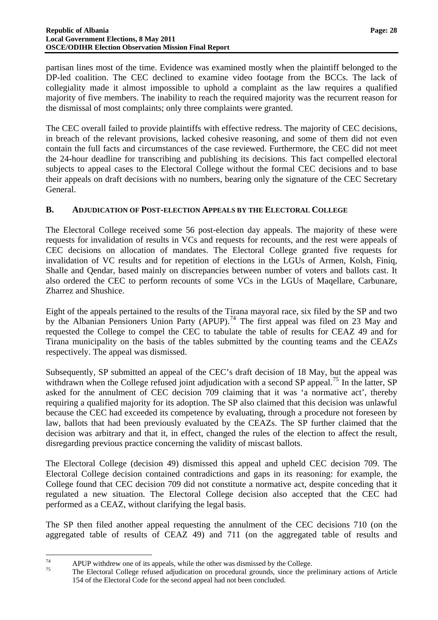partisan lines most of the time. Evidence was examined mostly when the plaintiff belonged to the DP-led coalition. The CEC declined to examine video footage from the BCCs. The lack of collegiality made it almost impossible to uphold a complaint as the law requires a qualified majority of five members. The inability to reach the required majority was the recurrent reason for the dismissal of most complaints; only three complaints were granted.

The CEC overall failed to provide plaintiffs with effective redress. The majority of CEC decisions, in breach of the relevant provisions, lacked cohesive reasoning, and some of them did not even contain the full facts and circumstances of the case reviewed. Furthermore, the CEC did not meet the 24-hour deadline for transcribing and publishing its decisions. This fact compelled electoral subjects to appeal cases to the Electoral College without the formal CEC decisions and to base their appeals on draft decisions with no numbers, bearing only the signature of the CEC Secretary General.

#### <span id="page-29-0"></span>**B. ADJUDICATION OF POST-ELECTION APPEALS BY THE ELECTORAL COLLEGE**

The Electoral College received some 56 post-election day appeals. The majority of these were requests for invalidation of results in VCs and requests for recounts, and the rest were appeals of CEC decisions on allocation of mandates. The Electoral College granted five requests for invalidation of VC results and for repetition of elections in the LGUs of Armen, Kolsh, Finiq, Shalle and Qendar, based mainly on discrepancies between number of voters and ballots cast. It also ordered the CEC to perform recounts of some VCs in the LGUs of Maqellare, Carbunare, Zharrez and Shushice.

Eight of the appeals pertained to the results of the Tirana mayoral race, six filed by the SP and two by the Albanian Pensioners Union Party (APUP).<sup>[74](#page-27-1)</sup> The first appeal was filed on 23 May and requested the College to compel the CEC to tabulate the table of results for CEAZ 49 and for Tirana municipality on the basis of the tables submitted by the counting teams and the CEAZs respectively. The appeal was dismissed.

Subsequently, SP submitted an appeal of the CEC's draft decision of 18 May, but the appeal was withdrawn when the College refused joint adjudication with a second SP appeal.<sup>[75](#page-29-1)</sup> In the latter, SP asked for the annulment of CEC decision 709 claiming that it was 'a normative act', thereby requiring a qualified majority for its adoption. The SP also claimed that this decision was unlawful because the CEC had exceeded its competence by evaluating, through a procedure not foreseen by law, ballots that had been previously evaluated by the CEAZs. The SP further claimed that the decision was arbitrary and that it, in effect, changed the rules of the election to affect the result, disregarding previous practice concerning the validity of miscast ballots.

The Electoral College (decision 49) dismissed this appeal and upheld CEC decision 709. The Electoral College decision contained contradictions and gaps in its reasoning: for example, the College found that CEC decision 709 did not constitute a normative act, despite conceding that it regulated a new situation. The Electoral College decision also accepted that the CEC had performed as a CEAZ, without clarifying the legal basis.

The SP then filed another appeal requesting the annulment of the CEC decisions 710 (on the aggregated table of results of CEAZ 49) and 711 (on the aggregated table of results and

<span id="page-29-2"></span> $74$  $74$  APUP withdrew one of its appeals, while the other was dismissed by the College.

<span id="page-29-1"></span><sup>75</sup> The Electoral College refused adjudication on procedural grounds, since the preliminary actions of Article 154 of the Electoral Code for the second appeal had not been concluded.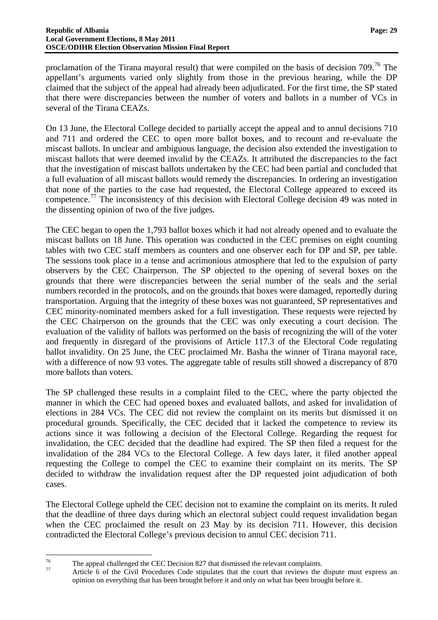proclamation of the Tirana mayoral result) that were compiled on the basis of decision 709.<sup>[76](#page-29-2)</sup> The appellant's arguments varied only slightly from those in the previous hearing, while the DP claimed that the subject of the appeal had already been adjudicated. For the first time, the SP stated that there were discrepancies between the number of voters and ballots in a number of VCs in several of the Tirana CEAZs.

On 13 June, the Electoral College decided to partially accept the appeal and to annul decisions 710 and 711 and ordered the CEC to open more ballot boxes, and to recount and re-evaluate the miscast ballots. In unclear and ambiguous language, the decision also extended the investigation to miscast ballots that were deemed invalid by the CEAZs. It attributed the discrepancies to the fact that the investigation of miscast ballots undertaken by the CEC had been partial and concluded that a full evaluation of all miscast ballots would remedy the discrepancies. In ordering an investigation that none of the parties to the case had requested, the Electoral College appeared to exceed its competence.<sup>[77](#page-30-0)</sup> The inconsistency of this decision with Electoral College decision 49 was noted in the dissenting opinion of two of the five judges.

The CEC began to open the 1,793 ballot boxes which it had not already opened and to evaluate the miscast ballots on 18 June. This operation was conducted in the CEC premises on eight counting tables with two CEC staff members as counters and one observer each for DP and SP, per table. The sessions took place in a tense and acrimonious atmosphere that led to the expulsion of party observers by the CEC Chairperson. The SP objected to the opening of several boxes on the grounds that there were discrepancies between the serial number of the seals and the serial numbers recorded in the protocols, and on the grounds that boxes were damaged, reportedly during transportation. Arguing that the integrity of these boxes was not guaranteed, SP representatives and CEC minority-nominated members asked for a full investigation. These requests were rejected by the CEC Chairperson on the grounds that the CEC was only executing a court decision. The evaluation of the validity of ballots was performed on the basis of recognizing the will of the voter and frequently in disregard of the provisions of Article 117.3 of the Electoral Code regulating ballot invalidity. On 25 June, the CEC proclaimed Mr. Basha the winner of Tirana mayoral race, with a difference of now 93 votes. The aggregate table of results still showed a discrepancy of 870 more ballots than voters.

The SP challenged these results in a complaint filed to the CEC, where the party objected the manner in which the CEC had opened boxes and evaluated ballots, and asked for invalidation of elections in 284 VCs. The CEC did not review the complaint on its merits but dismissed it on procedural grounds. Specifically, the CEC decided that it lacked the competence to review its actions since it was following a decision of the Electoral College. Regarding the request for invalidation, the CEC decided that the deadline had expired. The SP then filed a request for the invalidation of the 284 VCs to the Electoral College. A few days later, it filed another appeal requesting the College to compel the CEC to examine their complaint on its merits. The SP decided to withdraw the invalidation request after the DP requested joint adjudication of both cases.

The Electoral College upheld the CEC decision not to examine the complaint on its merits. It ruled that the deadline of three days during which an electoral subject could request invalidation began when the CEC proclaimed the result on 23 May by its decision 711. However, this decision contradicted the Electoral College's previous decision to annul CEC decision 711.

<span id="page-30-0"></span> $76$  $^{76}$  The appeal challenged the CEC Decision 827 that dismissed the relevant complaints.

Article 6 of the Civil Procedures Code stipulates that the court that reviews the dispute must express an opinion on everything that has been brought before it and only on what has been brought before it.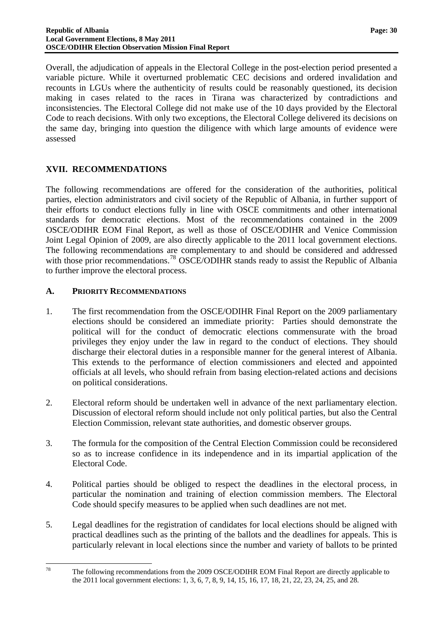Overall, the adjudication of appeals in the Electoral College in the post-election period presented a variable picture. While it overturned problematic CEC decisions and ordered invalidation and recounts in LGUs where the authenticity of results could be reasonably questioned, its decision making in cases related to the races in Tirana was characterized by contradictions and inconsistencies. The Electoral College did not make use of the 10 days provided by the Electoral Code to reach decisions. With only two exceptions, the Electoral College delivered its decisions on the same day, bringing into question the diligence with which large amounts of evidence were assessed

#### <span id="page-31-0"></span>**XVII. RECOMMENDATIONS**

The following recommendations are offered for the consideration of the authorities, political parties, election administrators and civil society of the Republic of Albania, in further support of their efforts to conduct elections fully in line with OSCE commitments and other international standards for democratic elections. Most of the recommendations contained in the 2009 OSCE/ODIHR EOM Final Report, as well as those of OSCE/ODIHR and Venice Commission Joint Legal Opinion of 2009, are also directly applicable to the 2011 local government elections. The following recommendations are complementary to and should be considered and addressed with those prior recommendations.<sup>[78](#page-30-0)</sup> OSCE/ODIHR stands ready to assist the Republic of Albania to further improve the electoral process.

#### <span id="page-31-1"></span>**A. PRIORITY RECOMMENDATIONS**

- 1. The first recommendation from the OSCE/ODIHR Final Report on the 2009 parliamentary elections should be considered an immediate priority: Parties should demonstrate the political will for the conduct of democratic elections commensurate with the broad privileges they enjoy under the law in regard to the conduct of elections. They should discharge their electoral duties in a responsible manner for the general interest of Albania. This extends to the performance of election commissioners and elected and appointed officials at all levels, who should refrain from basing election-related actions and decisions on political considerations.
- 2. Electoral reform should be undertaken well in advance of the next parliamentary election. Discussion of electoral reform should include not only political parties, but also the Central Election Commission, relevant state authorities, and domestic observer groups.
- 3. The formula for the composition of the Central Election Commission could be reconsidered so as to increase confidence in its independence and in its impartial application of the Electoral Code.
- 4. Political parties should be obliged to respect the deadlines in the electoral process, in particular the nomination and training of election commission members. The Electoral Code should specify measures to be applied when such deadlines are not met.
- 5. Legal deadlines for the registration of candidates for local elections should be aligned with practical deadlines such as the printing of the ballots and the deadlines for appeals. This is particularly relevant in local elections since the number and variety of ballots to be printed

<sup>78</sup> The following recommendations from the 2009 OSCE/ODIHR EOM Final Report are directly applicable to the 2011 local government elections: 1, 3, 6, 7, 8, 9, 14, 15, 16, 17, 18, 21, 22, 23, 24, 25, and 28.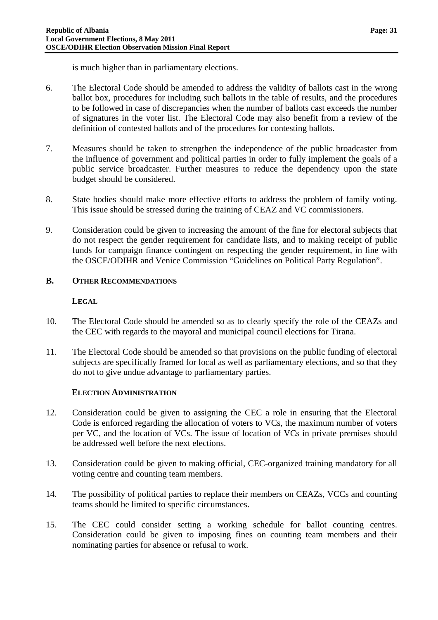is much higher than in parliamentary elections.

- 6. The Electoral Code should be amended to address the validity of ballots cast in the wrong ballot box, procedures for including such ballots in the table of results, and the procedures to be followed in case of discrepancies when the number of ballots cast exceeds the number of signatures in the voter list. The Electoral Code may also benefit from a review of the definition of contested ballots and of the procedures for contesting ballots.
- 7. Measures should be taken to strengthen the independence of the public broadcaster from the influence of government and political parties in order to fully implement the goals of a public service broadcaster. Further measures to reduce the dependency upon the state budget should be considered.
- 8. State bodies should make more effective efforts to address the problem of family voting. This issue should be stressed during the training of CEAZ and VC commissioners.
- 9. Consideration could be given to increasing the amount of the fine for electoral subjects that do not respect the gender requirement for candidate lists, and to making receipt of public funds for campaign finance contingent on respecting the gender requirement, in line with the OSCE/ODIHR and Venice Commission "Guidelines on Political Party Regulation".

#### <span id="page-32-0"></span>**B. OTHER RECOMMENDATIONS**

#### **LEGAL**

- 10. The Electoral Code should be amended so as to clearly specify the role of the CEAZs and the CEC with regards to the mayoral and municipal council elections for Tirana.
- 11. The Electoral Code should be amended so that provisions on the public funding of electoral subjects are specifically framed for local as well as parliamentary elections, and so that they do not to give undue advantage to parliamentary parties.

#### **ELECTION ADMINISTRATION**

- 12. Consideration could be given to assigning the CEC a role in ensuring that the Electoral Code is enforced regarding the allocation of voters to VCs, the maximum number of voters per VC, and the location of VCs. The issue of location of VCs in private premises should be addressed well before the next elections.
- 13. Consideration could be given to making official, CEC-organized training mandatory for all voting centre and counting team members.
- 14. The possibility of political parties to replace their members on CEAZs, VCCs and counting teams should be limited to specific circumstances.
- 15. The CEC could consider setting a working schedule for ballot counting centres. Consideration could be given to imposing fines on counting team members and their nominating parties for absence or refusal to work.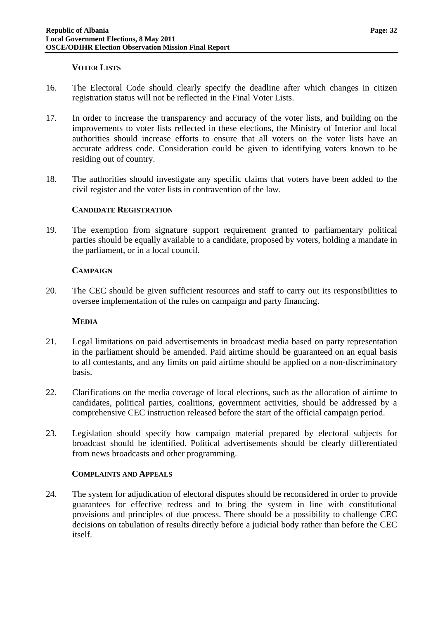#### **VOTER LISTS**

- 16. The Electoral Code should clearly specify the deadline after which changes in citizen registration status will not be reflected in the Final Voter Lists.
- 17. In order to increase the transparency and accuracy of the voter lists, and building on the improvements to voter lists reflected in these elections, the Ministry of Interior and local authorities should increase efforts to ensure that all voters on the voter lists have an accurate address code. Consideration could be given to identifying voters known to be residing out of country.
- 18. The authorities should investigate any specific claims that voters have been added to the civil register and the voter lists in contravention of the law.

#### **CANDIDATE REGISTRATION**

19. The exemption from signature support requirement granted to parliamentary political parties should be equally available to a candidate, proposed by voters, holding a mandate in the parliament, or in a local council.

#### **CAMPAIGN**

20. The CEC should be given sufficient resources and staff to carry out its responsibilities to oversee implementation of the rules on campaign and party financing.

#### **MEDIA**

- 21. Legal limitations on paid advertisements in broadcast media based on party representation in the parliament should be amended. Paid airtime should be guaranteed on an equal basis to all contestants, and any limits on paid airtime should be applied on a non-discriminatory basis.
- 22. Clarifications on the media coverage of local elections, such as the allocation of airtime to candidates, political parties, coalitions, government activities, should be addressed by a comprehensive CEC instruction released before the start of the official campaign period.
- 23. Legislation should specify how campaign material prepared by electoral subjects for broadcast should be identified. Political advertisements should be clearly differentiated from news broadcasts and other programming.

#### **COMPLAINTS AND APPEALS**

24. The system for adjudication of electoral disputes should be reconsidered in order to provide guarantees for effective redress and to bring the system in line with constitutional provisions and principles of due process. There should be a possibility to challenge CEC decisions on tabulation of results directly before a judicial body rather than before the CEC itself.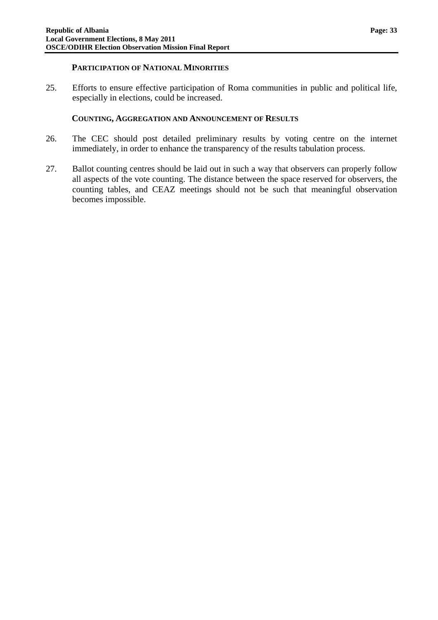#### **PARTICIPATION OF NATIONAL MINORITIES**

25. Efforts to ensure effective participation of Roma communities in public and political life, especially in elections, could be increased.

#### **COUNTING, AGGREGATION AND ANNOUNCEMENT OF RESULTS**

- 26. The CEC should post detailed preliminary results by voting centre on the internet immediately, in order to enhance the transparency of the results tabulation process.
- 27. Ballot counting centres should be laid out in such a way that observers can properly follow all aspects of the vote counting. The distance between the space reserved for observers, the counting tables, and CEAZ meetings should not be such that meaningful observation becomes impossible.